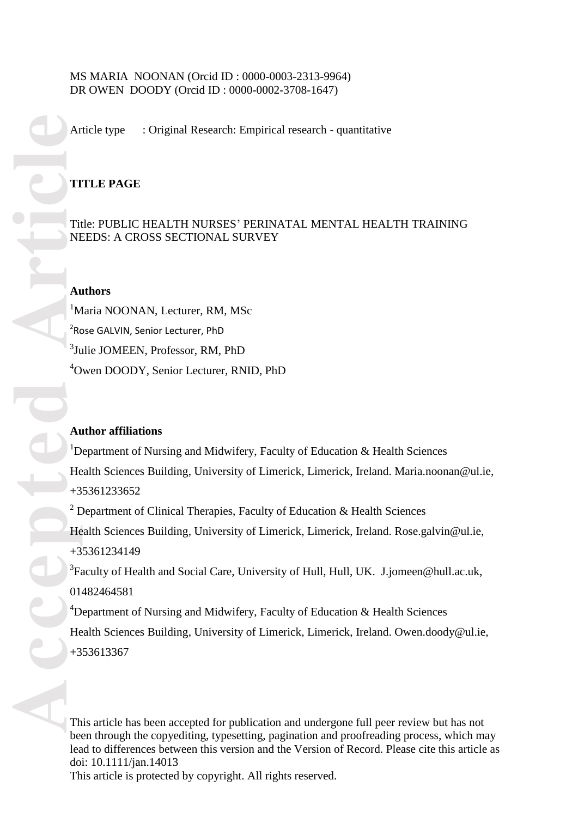# MS MARIA NOONAN (Orcid ID : 0000 -0003 -2313 -9964) DR OWEN DOODY (Orcid ID : 0000 -0002 -3708 -1647)

Article type : Original Research: Empirical research - quantitative

# **TITLE PAGE**

Title : PUBLIC HEALTH NURSES ' PERINATAL MENTAL HEALTH TRAINING NEEDS: A CROSS SECTIONAL SURVEY

## **Authors**

<sup>1</sup>Maria NOONAN, Lecturer, RM, MSc <sup>2</sup>Rose GALVIN, Senior Lecturer, PhD 3 Julie JOMEEN, Professor, RM, PhD <sup>4</sup>Owen DOODY, Senior Lecturer, RNID, PhD

# **Author affiliations**

<sup>1</sup>Department of Nursing and Midwifery, Faculty of Education  $\&$  Health Sciences Health Sciences Building, University of Limerick, Limerick, Ireland. [Maria.noonan@ul.ie,](mailto:Maria.noonan@ul.ie) +35361233652 <sup>2</sup> Department of Clinical Therapies, Faculty of Education  $\&$  Health Sciences Health Sciences Building, University of Limerick, Limerick, Ireland. [Rose.galvin@ul.ie,](mailto:Rose.galvin@ul.ie) +35361234149 <sup>3</sup> Faculty of Health and Social Care, University of Hull, Hull, UK. [J.jomeen@hull.ac.uk,](mailto:J.jomeen@hull.ac.uk) 01482464581 <sup>4</sup>Department of Nursing and Midwifery, Faculty of Education  $\&$  Health Sciences Health Sciences Building, University of Limerick, Limerick, Ireland. [Owen.doody@ul.ie,](mailto:Owen.doody@ul.ie) +353613367

This article has been accepted for publication and undergone full peer review but has not been through the copyediting, typesetting, pagination and proofreading process, which may lead to differences between this version and the Version of Record. Please cite this article as doi: 10.1111/jan.1401 3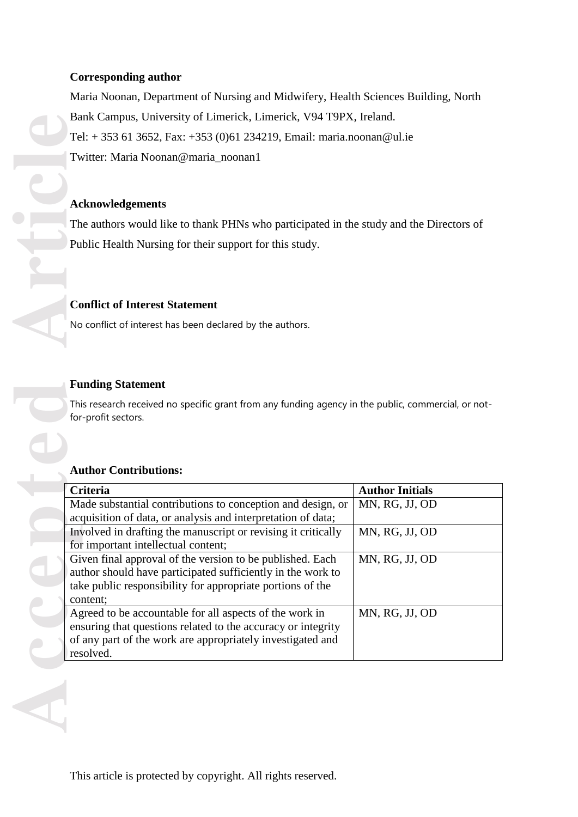# **Corresponding author**

Maria Noonan, Department of Nursing and Midwifery, Health Sciences Building, North Bank Campus, University of Limerick, Limerick, V94 T9PX, Ireland . Tel: + 353 61 3652, Fax: +353 (0)61 234219, Email: [maria.noonan@ul.ie](mailto:maria.noonan@ul.ie)  Twitter: Maria Noonan@maria\_noonan1

# **Acknowledgements**

# **Conflict of Interest Statement**

# **Funding Statement**

# **Author Contributions:**

| Bank Campus, University of Limerick, Limerick, V94 19PX, Ireland.                                                          |                        |
|----------------------------------------------------------------------------------------------------------------------------|------------------------|
| Tel: +353 61 3652, Fax: +353 (0)61 234219, Email: maria.noonan@ul.ie                                                       |                        |
| Twitter: Maria Noonan@maria_noonan1                                                                                        |                        |
|                                                                                                                            |                        |
|                                                                                                                            |                        |
| <b>Acknowledgements</b>                                                                                                    |                        |
| The authors would like to thank PHNs who participated in the study and the Directors of                                    |                        |
| Public Health Nursing for their support for this study.                                                                    |                        |
|                                                                                                                            |                        |
|                                                                                                                            |                        |
|                                                                                                                            |                        |
| <b>Conflict of Interest Statement</b>                                                                                      |                        |
| No conflict of interest has been declared by the authors.                                                                  |                        |
|                                                                                                                            |                        |
|                                                                                                                            |                        |
| <b>Funding Statement</b>                                                                                                   |                        |
| This research received no specific grant from any funding agency in the public, commercial, or not-                        |                        |
| for-profit sectors.                                                                                                        |                        |
|                                                                                                                            |                        |
|                                                                                                                            |                        |
| <b>Author Contributions:</b>                                                                                               |                        |
| Criteria                                                                                                                   | <b>Author Initials</b> |
| Made substantial contributions to conception and design, or                                                                | MN, RG, JJ, OD         |
| acquisition of data, or analysis and interpretation of data;                                                               |                        |
| Involved in drafting the manuscript or revising it critically                                                              | MN, RG, JJ, OD         |
| for important intellectual content;<br>Given final approval of the version to be published. Each                           | MN, RG, JJ, OD         |
| author should have participated sufficiently in the work to                                                                |                        |
| take public responsibility for appropriate portions of the                                                                 |                        |
| content;                                                                                                                   |                        |
| Agreed to be accountable for all aspects of the work in                                                                    | MN, RG, JJ, OD         |
| ensuring that questions related to the accuracy or integrity<br>of any part of the work are appropriately investigated and |                        |
| resolved.                                                                                                                  |                        |
|                                                                                                                            |                        |
|                                                                                                                            |                        |
|                                                                                                                            |                        |
|                                                                                                                            |                        |
|                                                                                                                            |                        |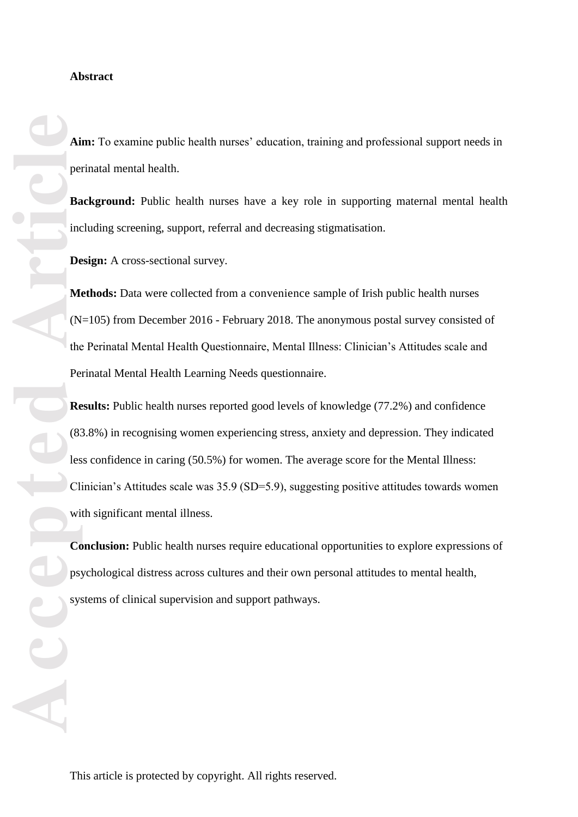#### **Abstract**

**Aim:** To examine public health nurses' education, training and professional support needs in perinatal mental health.

**Background:** Public health nurses have a key role in supporting maternal mental health including screening, support, referral and decreasing stigmatisation.

**Design:** A cross -sectional survey.

**Methods:** Data were collected from a convenience sample of Irish public health nurses (N=105) from December 2016 - February 2018. The anonymous postal survey consisted of the Perinatal Mental Health Questionnaire, Mental Illness: Clinician's Attitudes scale and Perinatal Mental Health Learning Needs questionnaire.

**Ai**<br> **Accepted**<br> **Accepted**<br> **Article**<br> **Accepted**<br> **Article**<br> **Accepted**<br> **Article**<br> **Article**<br> **Article**<br> **Article**<br> **Article**<br> **Article**<br> **Article**<br> **Reference Results:** Public health nurses reported good levels of knowledge (77.2%) and confidence (83.8%) in recognising women experiencing stress, anxiety and depression. They indicated less confidence in caring (50.5%) for women. The average score for the Mental Illness: Clinician's Attitudes scale was 35.9 (SD=5.9), suggesting positive attitudes towards women with significant mental illness.

**Conclusion:** Public health nurses require educational opportunities to explore expressions of psychological distress across cultures and their own personal attitudes to mental health, systems of clinical supervision and support pathways.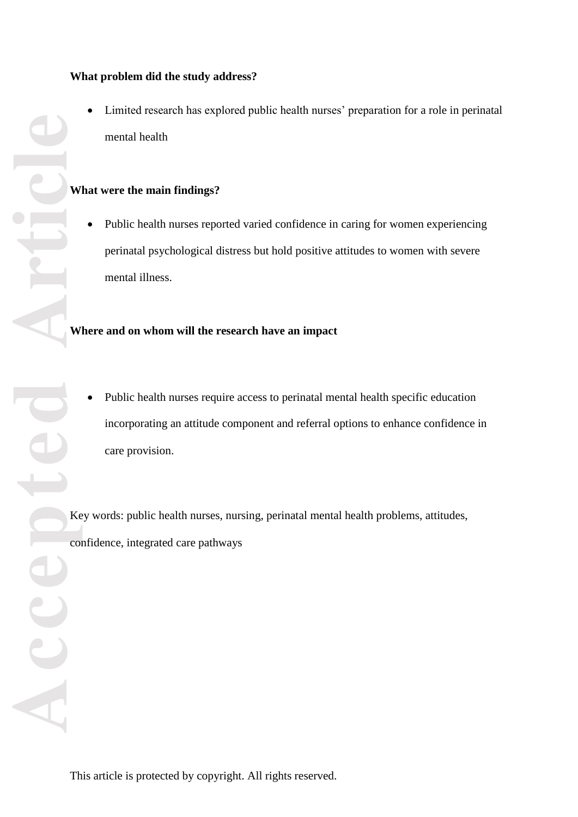# **What problem did the study address?**

 Limited research has explored public health nurses' preparation for a role in perinatal mental health

# **What were the main findings?**

 Public health nurses reported varied confidence in caring for women experiencing perinatal psychological distress but hold positive attitudes to women with severe mental illness.

# **Where and on whom will the research have an impact**

 Public health nurses require access to perinatal mental health specific education incorporating an attitude component and referral options to enhance confidence in care provision.

Key words: public health nurses, nursing, perinatal mental health problems, attitudes, confidence, integrated care pathways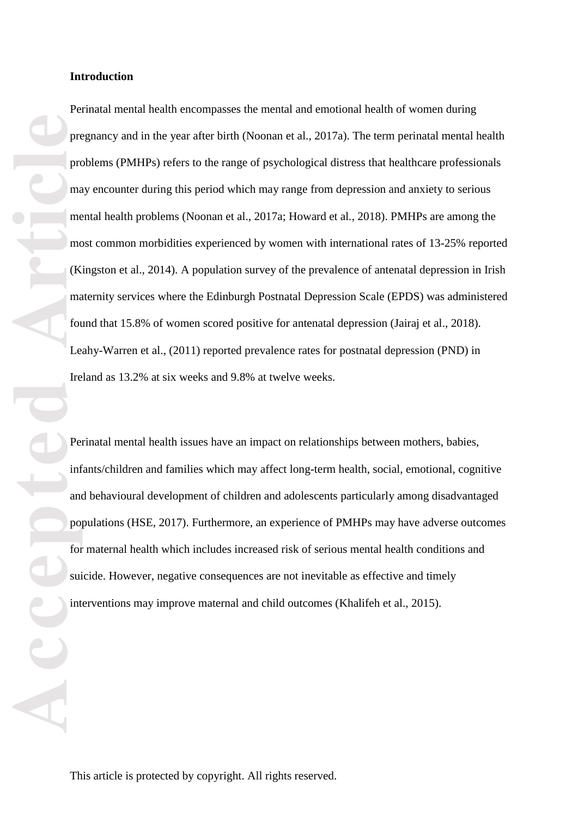**Proper Proper Proper Proper Proper Proper Proper Proper Proper Proper Proper Proper Proper Proper Proper Proper Proper Proper Proper Proper Proper Proper Proper Proper Proper Proper Proper Proper Proper Proper Proper Prop** Perinatal mental health encompasses the mental and emotional health of women during pregnancy and in the year after birth (Noonan et al., 2017a) . The term perinatal mental health problems (PMHPs) refers to the range of psychological distress that healthcare professionals may encounter during this period which may range from depression and anxiety to serious mental health problems (Noonan et al., 2017a; Howard et al., 2018). PMHPs are among the most common morbidities experienced by women with internation al rates of 13 -25% reported (Kingston et al., 2014). A population survey of the prevalence of antenatal depression in Irish maternity services where the Edinburgh Postnatal Depression Scale (EPDS) was administered found that 15.8% of women scored positive for antenatal depression (Jairaj et al., 2018). Leahy -Warren et al., (2011) reported prevalence rates for postnatal depression (PND) in Ireland as 13.2% at six weeks and 9.8% at twelve weeks. Perinatal mental health issues have an impact on relationships between mothers, babies,

infant s/children and families which may affect long -term health, social, emotional, cognitive and behavioural development of children and adolescents particularly among disadvantage d populations (HSE , 201 7). Furthermore, an experience of PMHPs may have adverse outcomes for maternal health which include s increased risk of serious mental health conditions and suicide. However, negative consequences are not inevitable a s effective and timely interventions may improve maternal and child outcomes (Khalifeh et al., 2015).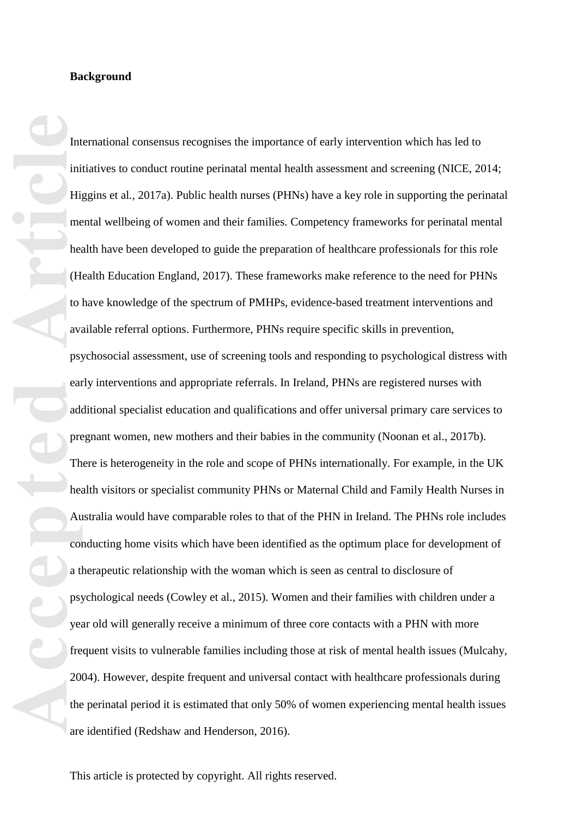#### **Background**

**Accepted Article**

International consensus recognises the importance of early intervention which has led to initiatives to conduct routine perinatal mental health assessment and screening (NICE, 2014; Higgins et al., 2017a). Public health nurses (PHNs) have a key role in supporting the perinatal mental wellbeing of women and their families. Competency frameworks for perinatal mental health have been developed to guide the preparation of healthcare professionals for this role (Health Education England , 2017). These frameworks make reference to the need for PHNs to have knowledge of the spectrum of PMHPs, evidence -based treatment interventions and available referral options. Furthermore, PHNs require specific skills in prevention, psychosocial assessment, use of screening tools and responding to psychological distress with early interventions and appropriate referrals. In Ireland, PHNs are registered nurses with additional specialist education and qualifications and offer universal primary care service s to pregnant women, new mothers and their babies in the community ( Noonan et al. , 2017b). There is heterogeneity in the role and scope of PHNs internationally. For example, in the UK health visitors or specialist community PHNs or Maternal Child and Family Health Nurses in Australia would have comparable roles to that of the PHN in Ireland. The PHNs role includes conductin g home visits which have been identified as the optimum place for development of a therapeutic relationship with the woman which is seen as central to disclosure of psychological needs (Cowley et al., 2015). Women and their families with children under a year old will generally receive a minimum of three core contacts with a PHN with more frequent visits to vulnerable families including those at risk of mental health issues (Mulcahy, 200 4). However, despite frequent and universal contact with healthcare professionals during the perinatal period it is estimated that only 50% of women experiencing mental health issues are identified (Redshaw and Henderson , 2016).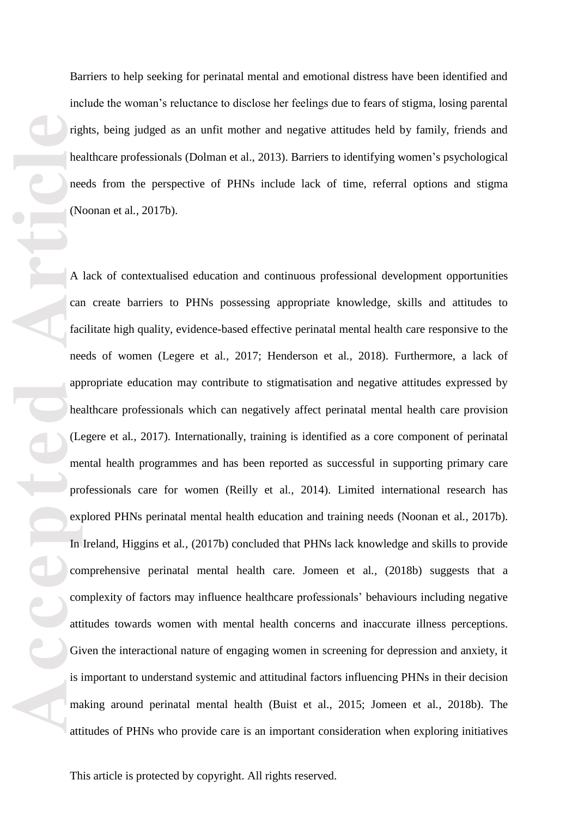Barriers to help seeking for perinatal mental and emotional distress have been identified and include the woman's reluctance to disclose her feelings due to fears of stigma, losing parental rights, being judged as an unfit mother and negative attitudes held by family, friends and healthcare professionals (Dolman et al. , 201 3). Barriers to identifying women 's psychological needs from the perspective of PHNs include lack of time, referral options and stigma (Noonan et al*.,* 2017b).

**Prince the Contract of Contract of Contract of Contract of Contract of Contract of Contract of Contract of Contract of Contract of Contract of Contract of Contract of Contract of Contract of Contract of Contract of Contra** A lack of contextualised education and continuous professional development opportunities can create barriers to PHNs possessing appropriate knowledge, skills and attitudes to facilitate high quality, evidence -based effective perinatal mental health care responsive to the needs of women (Legere et al., 2017; Henderson et al., 2018). Furthermore, a lack of appropriate education may contribute to stigmatisation and negative attitudes expressed by healthcare professional s which can negatively affect perinatal mental health care provision (Legere et al., 2017). Internationally, training is identified as a core component of perinatal mental health programmes and has been reported as successful in supporting primary care professionals care for women (Reilly et al., 2014). Limited international research has explored PHNs perinatal mental health education and training needs (Noonan et al., 2017b). In Ireland, Higgins et al., (2017b) concluded that PHNs lack knowledge and skills to provide comprehensive perinatal mental health care. Jomeen et al., (2018b) suggests that a complexity of factors m ay influence healthcare professionals' behaviours including negative attitudes towards women with mental health concerns and inaccurate illness perceptions. Given the interactional nature of engaging women in screening for depression and anxiety, it is important to understand systemic and attitudinal factors influencing PHNs in their decision making around perinatal mental health (Buist et al., 2015; Jomeen et al., 2018b). The attitudes of PHNs who provide care is an important consideration when exploring initiatives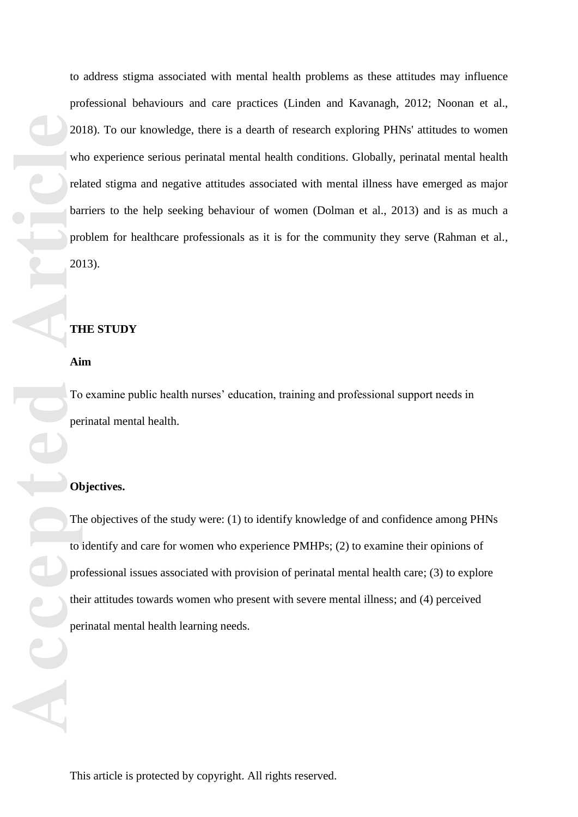**Accepted Articles Contained Properties**<br> **Articles Contained Properties**<br> **Articles Properties**<br> **Articles Properties** to address stigma associated with mental health problems as these attitudes may influence professional behaviour s and care practices (Linden and Kavanagh, 2012; Noonan et al. , 2018). To our knowledge, there is a dearth of research exploring PHNs' attitudes to women who experience serious perinatal mental health conditions. Globally, perinatal mental health related stigma and negative attitudes associated with mental illness have emerged as major barriers to the help seeking behaviour of women (Dolman et al. , 2013 ) and is as much a problem for healthcare professionals as it is for the community they serve (Rahman et al., 2013).

### **THE STUDY**

**Aim**

To examine public health nurses' education, training and professional support needs in perinatal mental health.

#### **Objectives.**

The objectives of the study were: (1) to identify knowledge of and confidence among PHNs to identify and care for women who experience PMHPs ; (2) to examine their opinions of professional issues associated with provision of perinatal mental health care; (3) to explore their attitudes towards women who present with severe mental illness ; and (4) perceived perinatal mental health learning needs.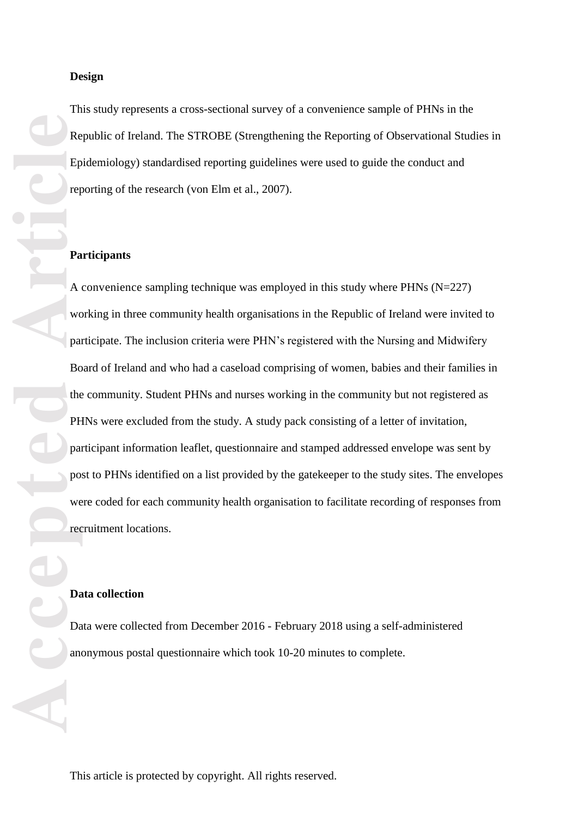This study represents a cross -sectional survey of a convenience sample of PHNs in the Republic of Ireland. The STROBE (Strengthening the Reporting of Observational Studies in Epidemiology) standardised reporting guidelines were used to guide the conduct and reporting of the research (von Elm et al., 2007).

#### **Participants**

A convenience sampling technique was employed in this study where PHNs (N=227) working in three community health organisations in the Republic of Ireland were invited to participate. The inclusion criteria were PHN's registered with the Nursing and Midwifery Board of Ireland and who had a caseload comprising of women, babies and their families in the community. Student PHNs and nurses working in the community but not registered as PHNs were excluded from the study. A study pack consisting of a letter of invitation, participant information leaflet, questionnaire and stamped addressed envelope was sent by post to PHNs identified on a list provided by the gatekeep er to the study sites . The envelopes were coded for each community health organisation to facilitate recording of responses from recruitment locations.

#### **Data collection**

Data were collected from December 2016 - February 2018 using a self-administered anonymous postal questionnaire which took 10 -20 minutes to complete.

**But the Contract of Contract of Contract of Contract of Contract of Contract of Contract of Contract of Contract of Contract of Contract of Contract of Contract of Contract of Contract of Contract of Contract of Contract**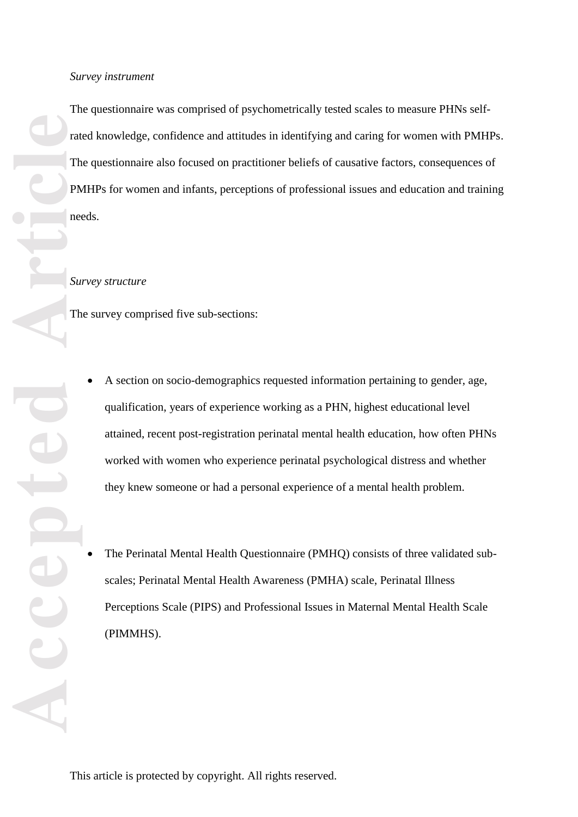**Accepted Article** The questionnaire was comprised of psychometrically tested scales to measure PHNs selfrated knowledge, confidence and attitudes in identifying and caring for women with PMHPs. The questionnaire also focuse d on practitioner beliefs of causative factors, consequences of PMHPs for women and infants, perceptions of professional issues and education and training needs.

### *Survey structure*

The survey comprised five sub -sections:

- A section on socio -demographics requested information pertaining to gender, age, qualification, years of experience working as a PHN, highest educational level attained, recent post-registration perinatal mental health education, how often PHNs worked with women who experience perinatal psychological distress and whether they knew someone or had a personal experience of a mental health problem.
- The Perinatal Mental Health Questionnaire (PMHQ) consists of three validated subscales; Perinatal Mental Health Awareness (PMHA) scale, Perinatal Illness Perceptions Scale (PIPS) and Professional Issues in Maternal Mental Health Scale (PIMMHS).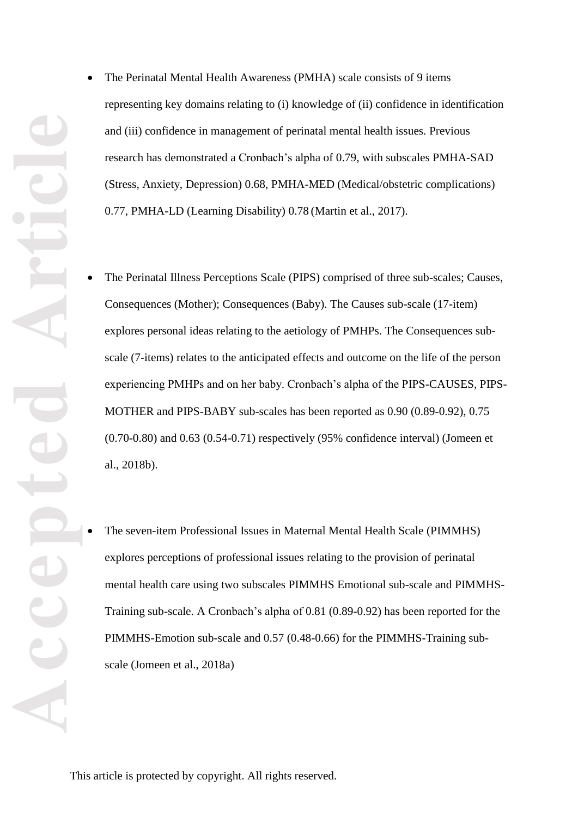representing key domains relating to (i) knowledge of (ii) confidence in identification and (iii) confidence in management of perinatal mental health issues. Previous research has demonstrated a Cronbach's alpha of 0.79, with subscales PMHA -SAD (Stress, Anxiety, Depression) 0.68, PMHA -MED (Medical/obstetric complications) 0.77, PMHA -LD (Learning Disability) 0.78 (Martin et al. , 2017).

- The Perinatal Mental Health Awareness (PMHA) scale consists of 9 items<br>representing key domains relating to (i) knowledge of (ii) confidence in ideal<br>and (iii) confidence in management of perinatal mental health issues. Pr • The Perinatal Illness Perceptions Scale (PIPS) comprised of three sub-scales; Causes, Consequences (Mother); Consequences (Baby). The Causes sub-scale (17-item) explores personal ideas relating to the aetiology of PMHPs. The Consequences sub scale (7 -items) relates to the anticipated effects and outcome on the life of the person experiencing PMHPs and on her baby. Cronbach's alpha of the PIPS -CAUSES, PIPS - MOTHER and PIPS -BABY sub -scales has been reported as 0.90 (0.89 -0.92), 0.75 (0.70 -0.80) and 0.63 (0.54 -0.71) respectively (95% confidence interval) (Jomeen et al. , 2018 b).
	- The seven-item Professional Issues in Maternal Mental Health Scale (PIMMHS) explores perception s of professional issues relating to the provision of perinatal mental health care using two subscales PIMMHS Emoti onal sub -scale and PIMMHS - Training sub -scale. A Cronbach's alpha of 0.81 (0.89 -0.92) has been reported for the PIMMHS-Emotion sub-scale and 0.57 (0.48-0.66) for the PIMMHS-Training subscale (Jomeen et al. , 2018 a )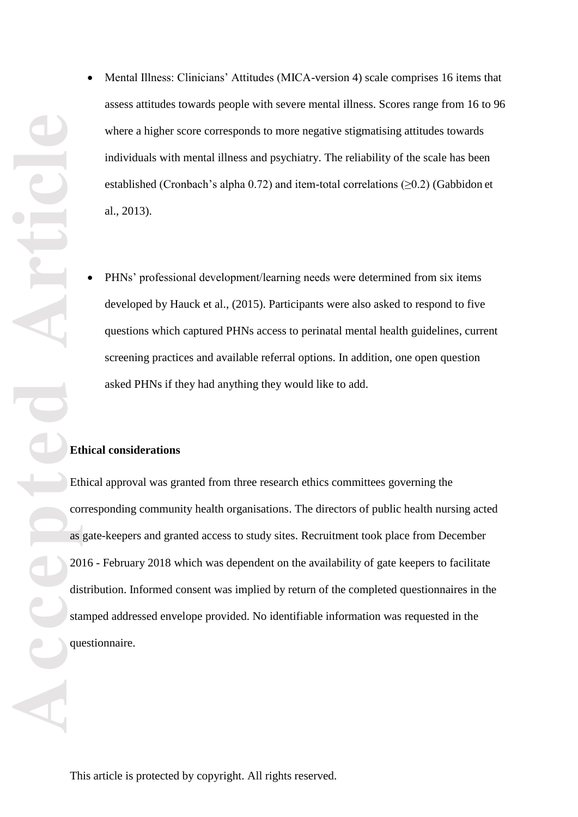- Mental Illness: Clinicians' Attitudes (MICA-version 4) scale comprises 16 items that assess attitudes towards people with severe mental illness. Scores range from 16 to 96 where a higher score corresponds to more negative stigmatising attitudes towards individuals with mental illness and psychiatry. The reliability of the scale has been established (Cronbach's alpha 0.72) and item -total correlations (≥0.2) (Gabbidon et al . , 2013) .
- PHNs' professional development/learning needs were determined from six items developed by Hauck et al. , (2015 ). Participants were also asked to respond to five questions which captured PHNs access to perinatal mental health guidelines , current screening practices and available referral options. In addition, one open question asked PHNs if they had anything they would like to add.

# **Ethical considerations**

Mental Illness: Clinicians' Attitudes (MICA-version 4)<br>assess attitudes towards people with severe mental illne<br>where a higher score corresponds to more negative stign<br>individuals with mental illness and psychiatry. The re Ethical approval was granted from three research ethics committees governing the corresponding community health organisations. The directors of public health nursing acted as gate -keepers and granted access to study sites . Recruitment took place from December 2016 - February 2018 which was dependent on the availability of gate keepers to facilitate distribution. Informed consent was implied by return of the completed questionnaires in the stamped addressed envelope provided. No identifiable information was requested in the questionnaire.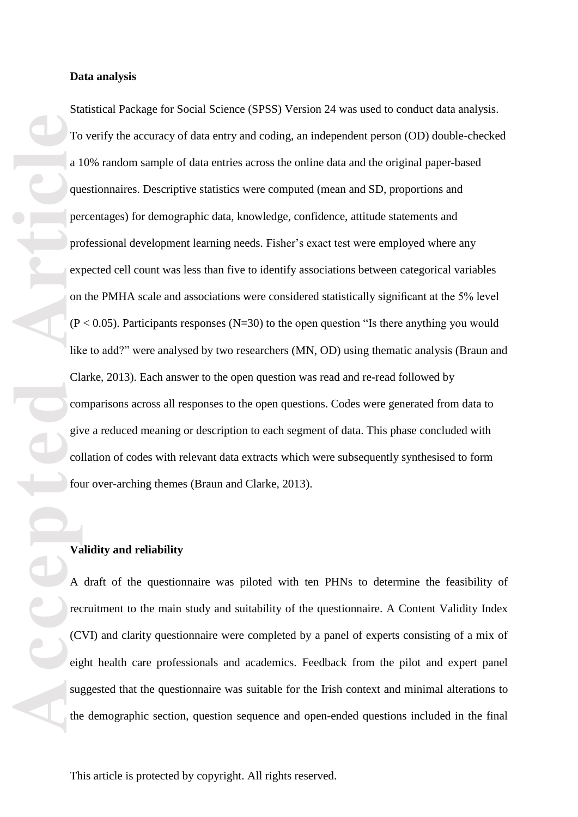To a 1 que per care of C city of the C city of the C city of the C city of the C city of the C city of the C city of the C city of the C city of the C city of the C city of the C city of the C city of the C city of the C c Data analysis<br>Statistical Package for Social Science (SPSS) Version 24<br>To verify the accuracy of data entrics across the online da<br>10% random sample of data entries across the online da<br>questionnaires. Descriptive statisti Statistical Package for Social Science (SPSS) Version 24 was used to conduct data analysis. To verify the accuracy of data entry and coding, an independent person (OD) double -checked a 10% random sample of data entries across the online data and the original paper -based questionnaires. Descriptive statistics were computed (mean and SD, proportions and percentages) for demographic data, knowledge, confidence, attitude statements and professional development learning needs. Fisher's exact test were employed where any expected cell count was less than five to identify associations between categorical variables on the PMHA scale and associations were considered statistically significant at the 5% level  $(P < 0.05)$ . Participants responses  $(N=30)$  to the open question "Is there anything you would like to add?" were analysed by two researchers (MN, OD) using thematic analysis (Braun and Clarke, 2013). Each answer to the open question was read and re -read followed by comparisons across all responses to the open question s. Codes were generated from data to give a reduced meaning or description to each segment of data. This phase concluded with collation of codes with relevant data extracts which were subsequently synthesised to form four over -arching themes (Braun and Clarke, 2013).

#### **Validity and reliability**

A draft of the questionnaire was piloted with ten PHNs to determine the feasibility of recruitment to the main study and suitability of the questionnaire. A Content Validity Index (CVI) and clarity questionnaire were completed by a panel of experts consisting of a mix of eight health care professionals and academics. Feedback from the pilot and expert panel suggested that the questionnaire was suitable for the Irish context and minimal alterations to the demographic section, question sequence and open -ended questions included in the final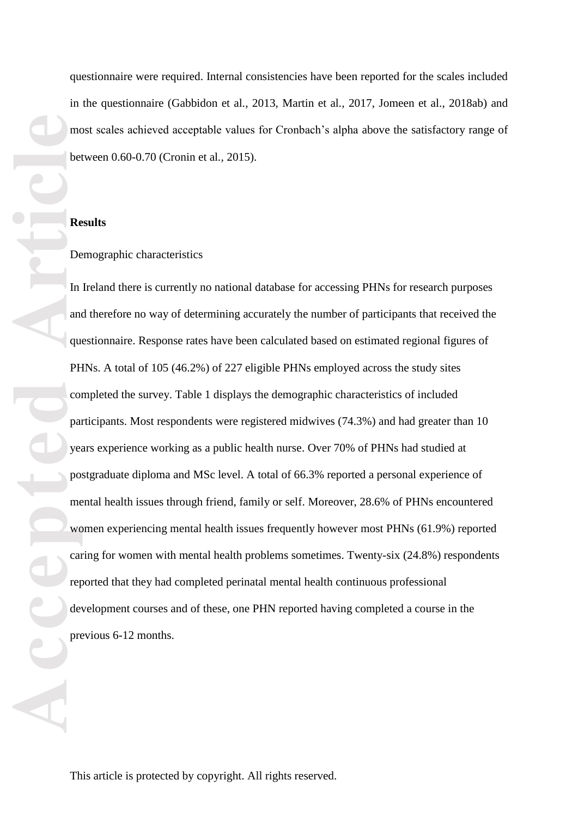questionnaire were required. Internal consistencies have been reported for the scales included in the questionnaire (Gabbidon et al., 2013, Martin et al., 2017, Jomeen et al., 2018ab) and most scales achieved acceptable values for Cronbach's alpha above the satisfactory range of between 0.60 -0.70 (Cronin et al *. ,* 2015).

# **Results**

# Demographic characteristics

**Accepted Article**<br> **Article**<br> **Article**<br> **Article**<br> **Article**<br> **Article**<br> **Article**<br> **Article**<br> **Article**<br> **Article**<br> **Article**<br> **Article**<br> **Article**<br> **Article**<br> **Article**<br> **Article**<br> **Article**<br> **Article**<br> **Article**<br> **A** In Ireland there is currently no national database for accessing PHNs for research purposes and therefore no way of determining accurately the number of participants that received the questionnaire. Response rates have been calculated based on estimated regional figures of PHNs . A total of 105 (46.2%) of 227 eligible PHNs employed across the study sites completed the survey . Table 1 displays the demographic characteristics of included participants. Most respondents were registered midwives (74.3%) and had greater than 10 years experienc e working as a public health nurse . Over 70% of PHNs had studied at postgraduate diploma and MSc level. A total of 66.3% reported a personal experience of mental health issues through friend, family or self. Moreover, 28.6% of PHNs encountered women experiencing mental health issues frequently however most PHNs (61.9%) reported caring for women with mental health problems sometimes. Twenty -six (24.8% ) respondents reported that they had completed perinatal mental health continuous professional development courses and of these , one PHN reported having completed a course in the previous 6 -12 months.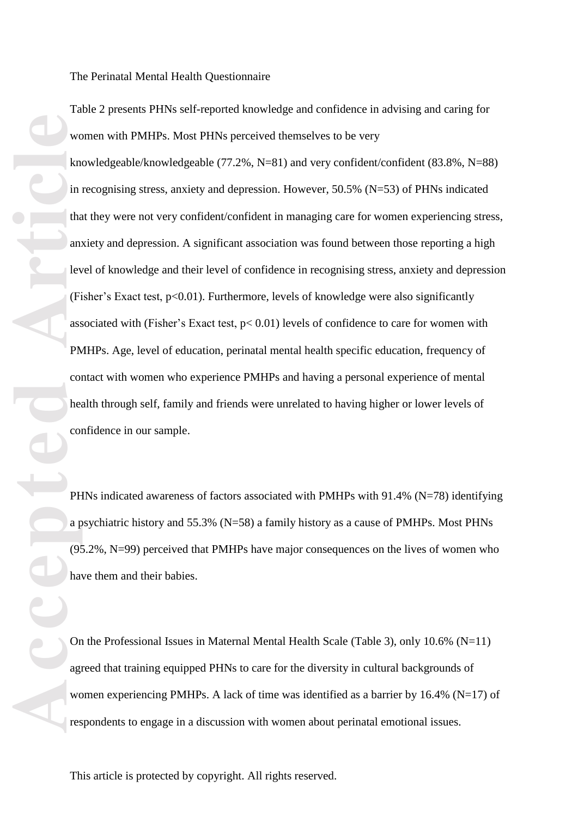The Perinatal Mental Health Questionnaire

Table 2 presents PHNs self-reported knowledge and confidence in advising and caring for women with PMHPs. Most PHNs perceived themselves to be very

**Accepted Article**<br> **Accepted Article**<br> **Accepted Article**<br> **Article**<br> **Article**<br> **Article**<br> **Article**<br> **Article**<br> **Article**<br> **Article**<br> **Article**<br> **PH**<br> **Article**<br> **Article**<br> **PHE**<br> **Article**<br> **Article**<br> **Article**<br> knowledgeable/knowledgeable (77.2%, N=81) and very confident/confident ( 8 3.8%, N=88) in recognising stress, anxiety and depression. However, 5 0 . 5 % (N= 5 3) of PHNs indicated that they were not very confident/confident in managing care for women experiencing stress, anxiety and depression. A significant association was found between those reporting a high level of knowledge and their level of confidence in recognising stress, anxiety and depression (Fisher's Exact test, p<0.01). Furthermore, levels of knowledge were also significantly associated with (Fisher's Exact test,  $p < 0.01$ ) levels of confidence to care for women with PMHPs. Age, level of education, perinatal mental health specific education, frequency of contact with women who experience PMHPs and having a personal experience of mental health through self, family and friends were unrelated to having higher or lower levels of confidence in our sample.

PHNs indicated awareness of factors associated with PMHPs with 91.4% (N=78) identifying a psychiatric history and 55.3% (N=58) a family history as a cause of PMHPs. Most PHNs (95.2%, N=99) perceived that PMHPs have major consequences on the lives of women who have them and their babies .

On the Professional Issues in Maternal Mental Health Scale (Table 3), only 10.6% (N=11) agreed that training equipped PHNs to care for the diversity in cultural backgrounds of women experiencing PMHPs. A lack of time was identified as a barrier by  $16.4\%$  (N=17) of respondents to engage in a discussion with women about perinatal emotional issues.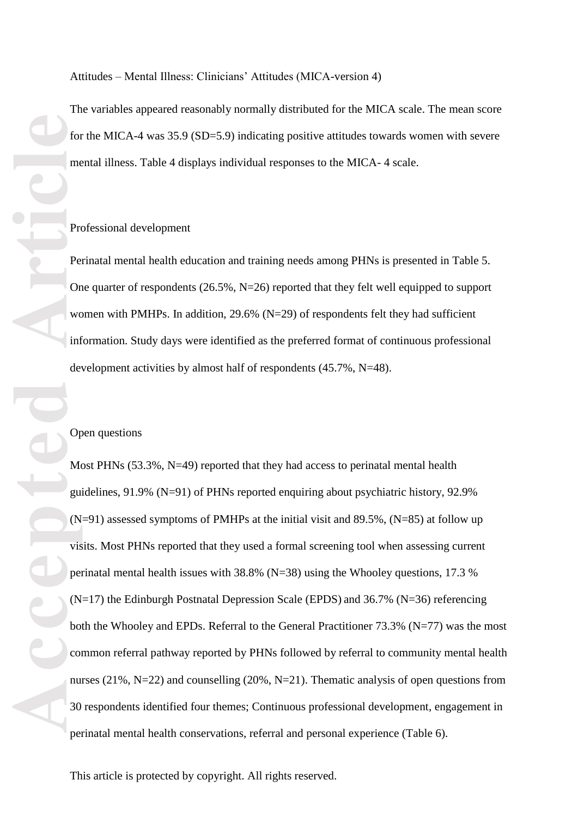Attitudes – Mental Illness: Clinicians' Attitudes (MICA -version 4)

The variables appeared reasonably normally distributed for the MICA scale. The mean score for the MICA-4 was 35.9 (SD=5.9) indicating positive attitudes towards women with severe mental illness. Table 4 displays individual responses to the MICA-4 scale.

Professional development<br>Perinatal mental health education and training needs among PHNs is presented in Table 5. One quarter of respondents (26.5%, N=26) reported that they felt well equipped to support women with PMHPs. In addition, 29.6% (N=29) of respondents felt they had sufficient information. Study days were identified as the preferred format of continuous professional development activities by almost half of respondents (45.7%, N=48).

#### Open questions

For the Median Contract of Median Contract of Median Contract of Median Contract of Median Contract of Median Contract of Median Contract of Median Contract of Median Contract of Median Contract of Median Contract of Media Most PHN s (53.3%, N=49) reported that they had access to perinatal mental health guidelines, 91.9% (N=91) of PHNs reported enquiring about psychiatric history, 92.9% (N= 9 1) assessed symptoms of PMHPs at the initial visit and 89.5%, (N=85) at follow up visits. Most PHNs reported that they used a formal screening tool when assessing current perinatal mental health issues with 38.8% (N=38) using the Whooley questions, 17.3 % (N=17) the Edinburgh Postnatal Depression Scale (EPDS) and 3 6 . 7% (N= 3 6) referencing both the Whooley and EPDs. Referral to the General Practitioner 73.3% (N=77) was the most common referral pathway reported by PHNs followed by referral to community mental health nurses (21%, N=22) and counselling (20%, N=21). Thematic analysis of open questions from 30 respondents identified four themes; Continuous professional development, engagement in perinatal mental health conservations, referral and personal experience (Table 6 ) .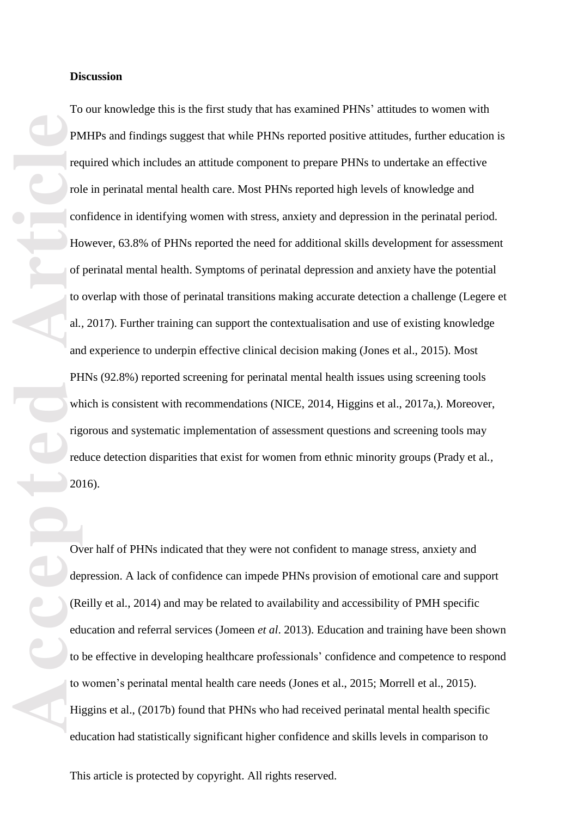PM<br>
PM<br>
Tec<br>
Tol<br>
Col<br>
Higher of<br>
The of<br>
The of<br>
The of<br>
The of<br>
The of<br>
The of<br>
The of<br>
The of<br>
The of<br>
The of<br>
The of<br>
The of<br>
The of<br>
The of<br>
The of<br>
The of<br>
The of<br>
The of<br>
The of<br>
The of<br>
The of<br>
The of<br>
The of<br>
The To our knowledge this is the first study that has examined PHNs ' attitudes to women with PMHPs and findings suggest that while PHNs reported positive attitudes, further education is required which includes an attitude component to prepare PHNs to undertake an effective role in perinatal mental health care. Most PHNs reported high levels of knowledge and confidence in identifying women with stress, anxiety and depression in the perinatal period. However, 63.8% of PHNs reported the need for additional skills development for assessment of perinatal mental health. Symptoms of perinatal depression and anxiety have the potential to overlap with those of perinatal transitions making accurate detection a challenge (Legere et al., 2017). Further training can support the contextualisation and use of existing knowledge and experience to underpin effective clinical decision making (Jones et al. , 2015). Most PHNs (92.8%) reported screening for perinatal mental health issues using screening tools which is consistent with recommendations (NICE, 2014, Higgins et al., 2017a,). Moreover, rigorous and systematic implementation of assessment questions and screening tools may reduce detection disparities that exist for women from ethnic minority groups (Prady et al.,

2016). Over half of PHNs indicated that they were not confident to manag e stress, anxiety and depression. A lack of confidence can impede PHNs provision of emotional care and support (Reilly et al. , 2014) and may be related to availability and accessibility of PMH specific education and referral services (Jomeen *et al*. 2013). Education and training have been shown to be effective in developing healthcare professionals' confidence and competence to respond to women's perinatal mental health care needs (Jones et al., 2015; Morrell et al., 2015). Higgins et al., (201 7 b) found that PHNs who had received perinatal mental health specific education had statistically significant higher confidence and skills levels in comparison to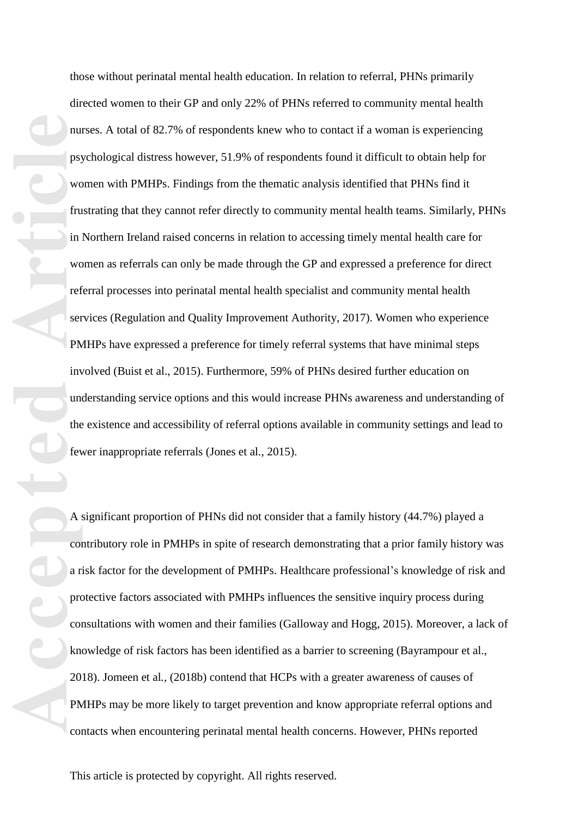**Accepted Article**<br> **Article**<br> **Article**<br> **Article**<br> **Article**<br> **Article**<br> **Article**<br> **Article**<br> **Article**<br> **Article**<br> **Article**<br> **Article**<br> **Article**<br> **Article**<br> **Article**<br> **Article**<br> **Article** those without perinatal mental health education. In relation to referral, PHNs primarily directed women to their GP and only 22% of PHNs referred to community mental health nurse s. A total of 82.7% of respondents knew who to contact if a woman is experiencing psychological distress however, 51.9 % of respondents found it difficult to obtain help for women with PMHPs. Findings from the thematic analysis identified that PHNs find it frustrating that they cannot refer directly to community mental health team s. Similarly, PHNs in Northern Ireland raised concerns in relation to accessing timely mental health care for women as referrals can only be made through the GP and expressed a preference for direct referral processes into perinatal mental health specialist and community mental health services (Regulation and Quality Improvement Authority , 2017). Women who experience PMHPs have expressed a preference for timely referral systems that have minimal steps involved (Buist et al. , 2015). Furthermore, 59% of PHNs desired further education on understanding service options and this would increase PHNs awareness and understanding of the existence and accessibility of referral options available in community settings and lead to fewer inappropriate referrals (Jones et al *.*, 2015).

A significant proportion of PHNs did not consider that a family history (44.7%) played a contributory role in PMHPs in spite of research demonstrating that a prior family history was a risk factor for the development of PMHPs . Healthcare professional's knowledge of risk and protective factors associated with PMHPs influences the sensitive inquiry process during consultations with women and their families (Galloway and Hogg , 2015). Moreover, a lack of knowledge of risk factors has been identified as a barrier to screening (Bayrampour et al., 2018). Jomeen et al., (2018b) contend that HCPs with a greater awareness of causes of PMHPs may be more likely to target prevention and know appropriate referral options and contacts when encountering perinatal mental health concerns. However, PHNs reported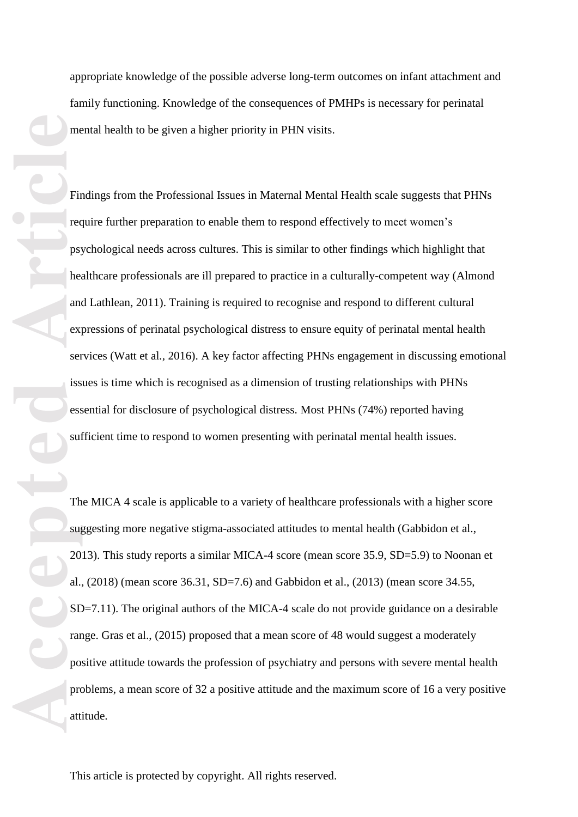appropriate knowledge of the possible adverse long -term outcomes on infant attachment and family functioning. Knowledge of the consequences of PMHPs is necessary for perinatal mental health to be given a higher priority in PHN visits.

Findings from the Professional Issues in Maternal Mental Health scale suggests that PHNs require further preparation to enable them to respond effectively to meet women's psychological needs across cultures. This is similar to other findings which highlight that healthcare professionals are ill prepared to practice in a culturally -competent way (Almond and Lathlean , 2011 ). Training is required to recognise and respond to different cultural expressions of perinatal psychological distress to ensure equity of perinatal mental health services (Watt et al., 2016). A key factor affecting PHNs engagement in discussing emotional issues is time which is recognised as a dimension of trusting relationships with PHNs essential for disclosure of psychological distress. Most PHNs (74%) reported having sufficient time to respond to women presenting with perinatal mental health issues.

**Accepted Articles I**<br> **Article**<br> **Article**<br> **Article**<br> **Article**<br> **Article**<br> **Article**<br> **Article**<br> **Article**<br> **Article**<br> **Article**<br> **Article**<br> **Article**<br> **Article**<br> **Article**<br> **Article**<br> **Article**<br> **Article**<br> **Article**<br> The MICA 4 scale is applicable to a variety of healthcare professionals with a higher score suggesting more negative stigma -associated attitudes to mental health (Gabbidon et al., 2013). This study report s a similar MICA -4 score (mean score 35.9, SD=5.9) to Noonan et al. , (2018) (mean score 36.31, SD=7.6) and Gabbidon et al., (2013) (mean score 34.55, SD=7.11). The original authors of the MICA -4 scale do not provide guidance on a desirable range. Gras et al., (2015) proposed that a mean score of 48 would suggest a moderately positive attitude towards the profession of psychiatry and persons with severe mental health problems, a mean score of 32 a positive attitude and the maximum score of 16 a very positive attitude.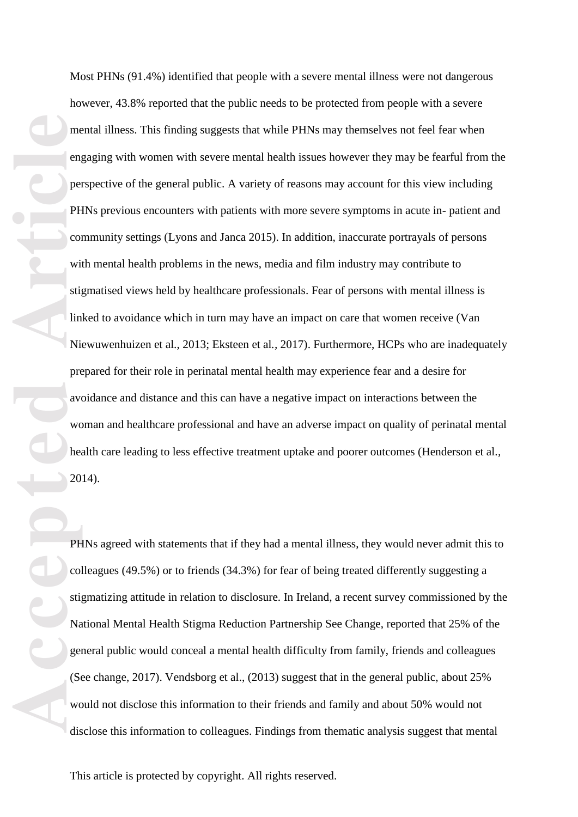**Accepted Articles Article**<br> **Article**<br> **Article**<br> **Article**<br> **Article**<br> **Article**<br> **Article**<br> **Article**<br> **Article**<br> **Article**<br> **Article**<br> **Article**<br> **Article**<br> **Article**<br> **Article**<br> **Article**<br> **Article**<br> **Article**<br> **A** Most PHNs ( 91.4%) identified that people with a severe mental illness were not dangerous however, 43.8% reported that the public need s to be protected from people with a severe mental illness. This finding suggests that while PHNs may themselves not feel fear when engaging with women with severe mental health issues however they may be fearful from the perspective of the general public. A variety of reasons may account for this view including PHNs previous encounters with patients with more severe symptoms in acute in-patient and community settings (Lyons and Janca 2015). In addition, inaccurate portrayals of persons with mental health problems in the news, media and film industry may contribute to stigmatised views held by healthcare professionals. Fear of persons with mental illness is linked to avoidance which in turn may have an impact on care that women receive (Van Niewuwenhuizen et al., 2013; Eksteen et al., 2017). Furthermore, HCPs who are inadequately prepared for their role in perinatal mental health may experience fear and a desire for avoidance and distance and this can have a negative impact on interactions between the woman and healthcare professional and have an adverse impact on quality of perinatal mental health care leading to less effective treatment uptake and poorer outcomes (Henderson et al *. ,* 2014).

PHNs agreed with statements that if they had a mental illness, they would never admit this to colleagues (49.5%) or to friends (34.3%) for fear of being treated differently suggesting a stigmatizing attitude in relation to disclosure. In Ireland, a recent survey commissioned by the National Mental Health Stigma Reduction Partnership See Change , reported that 25% of the general public would conceal a mental health difficulty from family, friends and colleagues (See change , 2017). Vendsborg et al., (2013) suggest that in the general public , about 25% would not disclose this information to their friends and family and about 50% would not disclose this information to colleagues. Findings from thematic analysis suggest that mental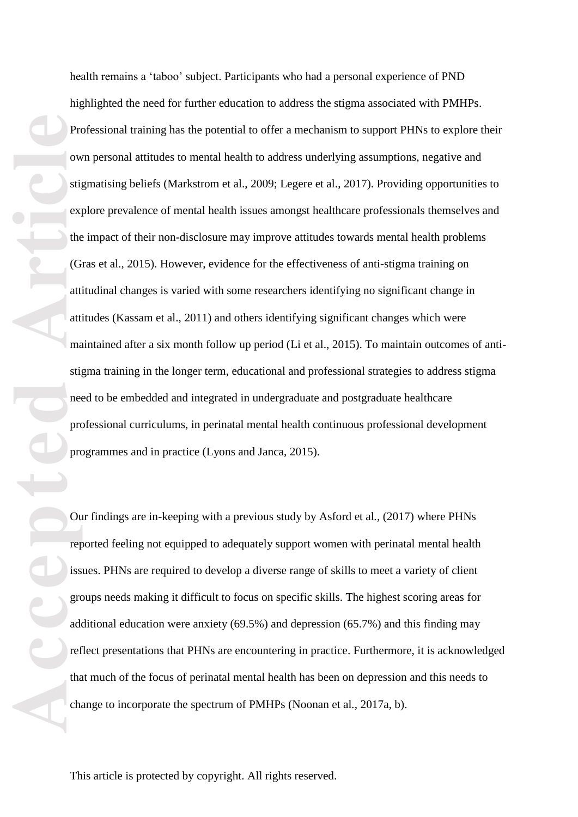Pro ow stig expects of the Gotton of the CG attention of the CG attention of the characteristics of the characteristics of the characteristics of the characteristics of the characteristics of the characteristics of the cha health remains a 't aboo' subject . Participants who had a personal experience of PND highlighted the need for further education to address the stigma associated with PMHPs. Professional training has the potential to offer a mechanism to support PHNs to explore their own personal attitudes to mental health to address underlying assumptions, negative and stigmatising beliefs (Markstrom et al. , 2009; Legere et al. , 2017 ). Providing opportunities to explore prevalence of mental health issues amongst healthcare professionals themselves and the impact of their non -disclosure may improve attitudes towards mental health problems (Gras et al. , 2015). However, evidence for the effectiveness of anti -stigma training on attitudinal changes is varied with some researchers identifying no significant change in attitudes (Kassam et al., 2011) and others identifying significant changes which were maintained after a six month follow up period (Li et al., 2015). To maintain outcomes of anti stigma training in the longer term , educational and professional strategies to address stigma need to be embedded and integrated in undergraduate and postgraduate healthcare professional curriculum s , in perinatal mental health continuous professional development programmes and in practice (Lyons and Janca , 2015).

Our findings are in-keeping with a previous study by Asford et al., (2017) where PHNs reported feeling not equipped to adequately support women with perinatal mental health issues. PHNs are required to develop a diverse range of skills to meet a variety of client group s needs making it difficult to focus on specific skills. The highest scoring areas for additional education were anxiety (69.5%) and depression (65.7%) and this finding may reflect presentations that PHNs are encountering in practice . Furthermore, it is acknowledged that much of the focus of perinatal mental health has been on depression and this needs to change to incorporate the spectrum of PMHPs (Noonan et al., 2017a, b).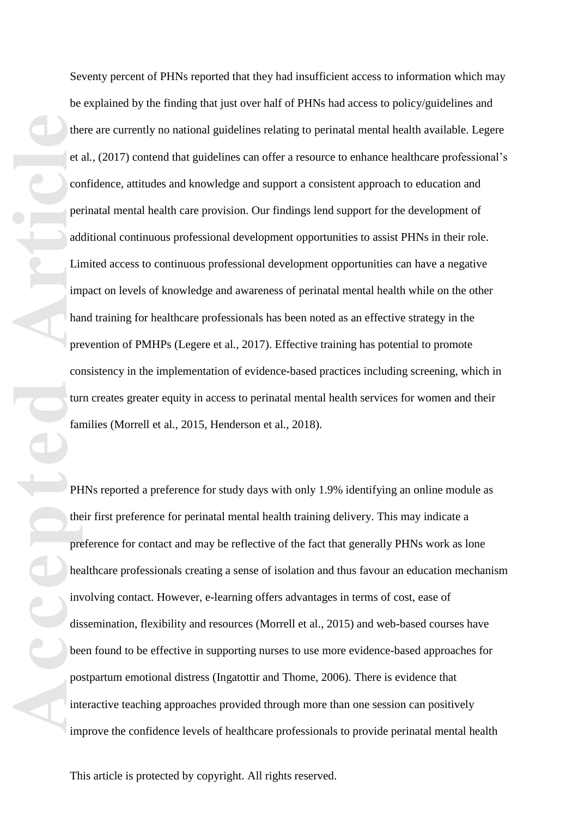**Accepted Article** Seventy percent of PHNs reported that they had insufficient access to information which may be explained by the finding that just over half of PHNs had access to policy/guidelines and there are currently no national guidelines relating to perinatal mental health available. Legere et al., (2017) contend that guidelines can offer a resource to enhance healthcare professional's confidence, attitudes and knowledge and support a consistent approach to education and perinatal mental health care provision. Our findings lend support for the development of additional continuous professional development opportunities to assist PHNs in their role. Limited access to continuous professional development opportunities can have a negative impact on levels of knowledge and awareness of perinatal mental health while on the other hand training for healthcare professional s has been noted as an effective strategy in the prevention of PMHPs (Legere et al., 2017). Effective training has potential to promote consistency in the implementation of evidence -based practices including screening, which in turn creates greater equity in access to perinatal mental health services for women and their families (Morrell et al., 2015, Henderson et al., 2018).

PHNs reported a preference for study days with only 1.9% identifying an online module as their first preference for perinatal mental health training delivery. This may indicate a preference for contact and may be reflective of the fact that generally PHNs work as lone healthcare professionals creating a sense of isolation and thus favour an education mechanism involving contact. However, e -learning offers advantages in terms of cost, ease of dissemination, flexibility and resources (Morrell et al. , 2015) and web -based courses have been found to be effective in supporting nurses to use more evidence -based approaches for postpartum emotional distress (Ingatottir and Thome , 200 6 ) . There is evidence that interactive teaching approaches provided through more than one session can positively improve the confidence levels of healthcare professionals to provide perinatal mental health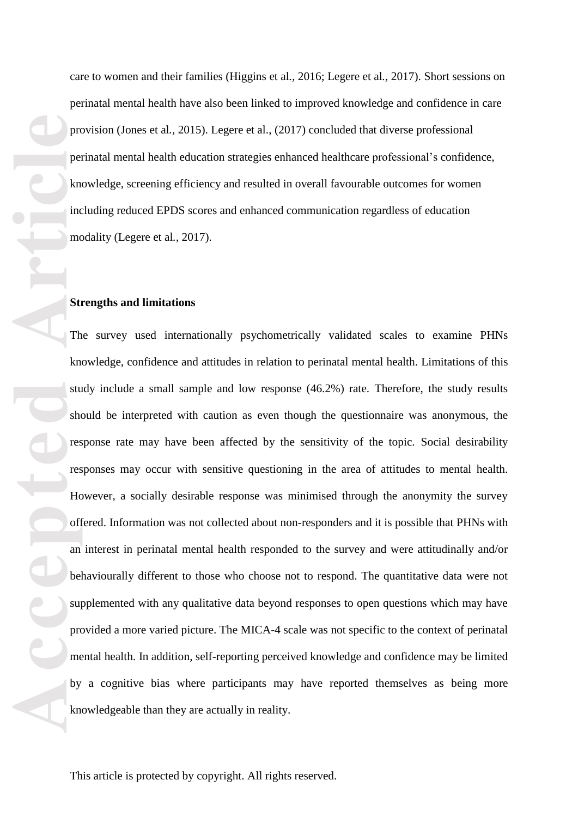produced by the produced by the produced by the state of the state of the state of the state by the by the by the by the by the by the by the by the by the by the by the by the by the by the by the by the by the by the by

care to women and their families (Higgins et al., 2016; Legere et al., 2017). Short sessions on perinatal mental health have also been linked to improve d knowledge and confidence in care provision (Jones et al., 2015). Legere et al., (2017) concluded that diverse professional perinatal mental health education strategies enhanced healthcare professional's confidence, knowledge, screening efficiency and resulted in overall favourable outcomes for women including reduced EPD S scores and enhanced communication regardless of education modality (Legere et al., 2017).

#### **Strengths and limitations**

The survey used internationally psychometrically validated scales to examine PHNs knowledge, confidence and attitudes in relation to perinatal mental health . Limitations of this study include a small sample and low response (46.2%) rate. Therefore, the study results should be interpreted with caution as even though the questionnaire was anonymous, the response rate may have been affected by the sensitivity of the topic. Social desirability responses may occur with sensitive questioning in the area of attitudes to mental health . However, a socially desirable response was minimised through the anonymity the survey offered. Information was not collected about non -responders and it is possible that PHNs with an interest in perinatal mental health responded to the survey and were attitudinally and/or behaviourally different to those who choose not to respond. The quantitative data were not supplemented with any qualitative data beyond responses to open questions which may have provided a more varied picture. The MICA -4 scale was not specific to the context of perinatal mental health. In addition, self-reporting perceived knowledge and confidence may be limited by a cognitive bias where participants may have reported themselves as being more knowledgeable than they are actually in reality.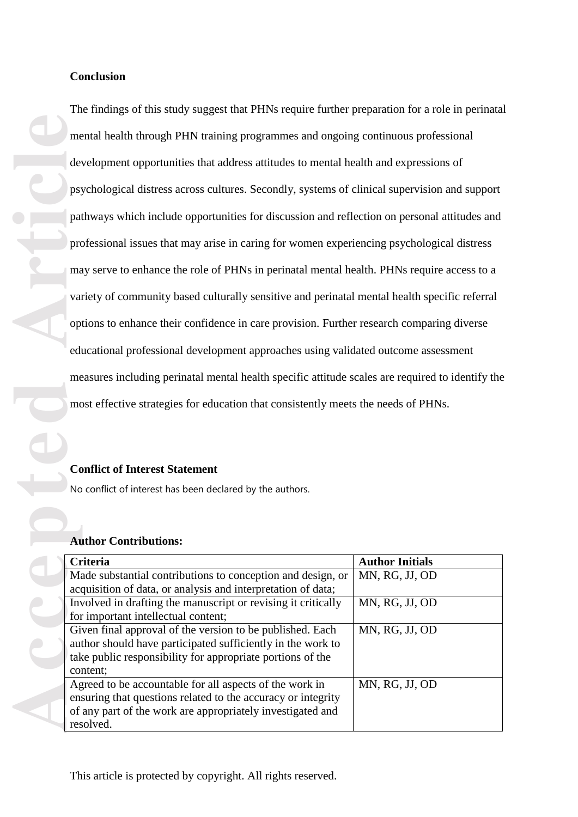The findings of this study suggest that PHNs require further preparation for a role in perinatal mental health through PHN training programmes and ongoing continuo us professional development opportunities that address attitudes to mental health and expressions of psychological distress across cultures. Secondly , systems of clinical supervision and support pathways which include opportunities for discussion and reflection on personal attitudes and professional issues that may arise in caring for women experiencing psychological distress may serve to enhance the role of PHNs in perinatal mental health. PHNs require access to a variety of community based culturally sensitive and perinatal mental health specific referral options to enhance their confidence in care provision. Further research comparing diverse educational professional development approaches using validated outcome assessment measures including perinatal mental health specific attitude scales are required to identify the most effective strategies for education that consistently meet s the needs of PHNs.

# **Conflict of Interest Statement**

#### **Author Contributions:**

|  | mental health through PHN training programmes and ongoing continuous professional                                           |                        |
|--|-----------------------------------------------------------------------------------------------------------------------------|------------------------|
|  | development opportunities that address attitudes to mental health and expressions of                                        |                        |
|  | psychological distress across cultures. Secondly, systems of clinical supervision and support                               |                        |
|  | pathways which include opportunities for discussion and reflection on personal attitudes and                                |                        |
|  | professional issues that may arise in caring for women experiencing psychological distress                                  |                        |
|  | may serve to enhance the role of PHNs in perinatal mental health. PHNs require access to a                                  |                        |
|  | variety of community based culturally sensitive and perinatal mental health specific referral                               |                        |
|  | options to enhance their confidence in care provision. Further research comparing diverse                                   |                        |
|  | educational professional development approaches using validated outcome assessment                                          |                        |
|  | measures including perinatal mental health specific attitude scales are required to identify the                            |                        |
|  | most effective strategies for education that consistently meets the needs of PHNs.                                          |                        |
|  |                                                                                                                             |                        |
|  | <b>Conflict of Interest Statement</b>                                                                                       |                        |
|  | No conflict of interest has been declared by the authors.                                                                   |                        |
|  |                                                                                                                             |                        |
|  | <b>Author Contributions:</b>                                                                                                |                        |
|  | Criteria                                                                                                                    | <b>Author Initials</b> |
|  | Made substantial contributions to conception and design, or<br>acquisition of data, or analysis and interpretation of data; | MN, RG, JJ, OD         |
|  | Involved in drafting the manuscript or revising it critically                                                               | MN, RG, JJ, OD         |
|  | for important intellectual content;<br>Given final approval of the version to be published. Each                            | MN, RG, JJ, OD         |
|  | author should have participated sufficiently in the work to                                                                 |                        |
|  | take public responsibility for appropriate portions of the                                                                  |                        |
|  | content;                                                                                                                    |                        |
|  | Agreed to be accountable for all aspects of the work in                                                                     | MN, RG, JJ, OD         |
|  | ensuring that questions related to the accuracy or integrity                                                                |                        |
|  | of any part of the work are appropriately investigated and<br>resolved.                                                     |                        |
|  |                                                                                                                             |                        |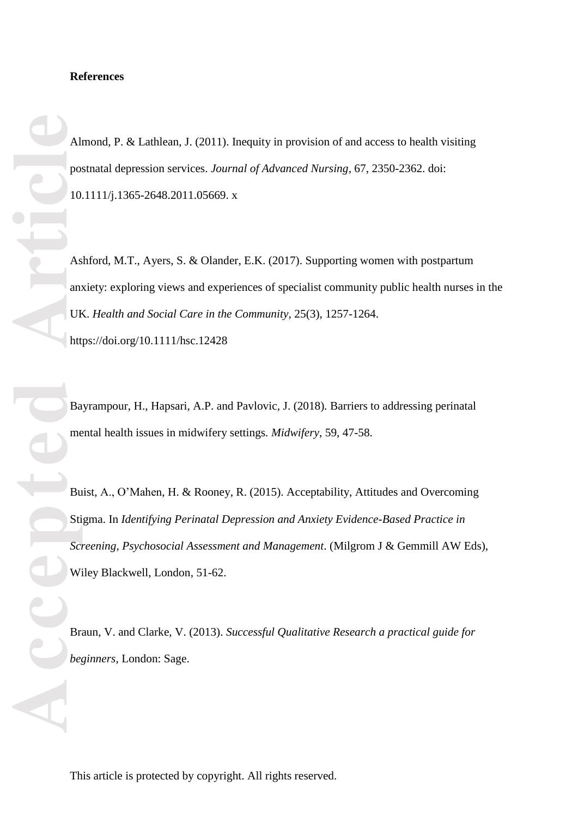#### **References**

Almond, P. & Lathlean, J. (2011). Inequity in provision of and access to health visiting postnatal depression services. *Journal of Advanced Nursing*, 67, 2350-2362. doi: 10.1111/j.1365 -2648.2011.05669. x

Ashford, M.T., Ayers, S. & Olander, E.K. (2017). Supporting women with postpartum anxiety: exploring views and experiences of specialist community public health nurses in the UK. Health and Social Care in the Community, 25(3), 1257-1264. <https://doi.org/10.1111/hsc.12428>

Bayrampour, H., Hapsari, A.P. and Pavlovic*,* J. (2018)*.* Barriers to addressing perinatal mental health issues in midwifery settings*. Midwifery*, 59, 47 -58.

Buist, A., O'Mahen, H. & Rooney, R. (2015). Acceptability, Attitudes and Overcoming Stigma. In *Identifying Perinatal Depression and Anxiety Evidence-Based Practice in Screening, Psychosocial Assessment and Management*. (Milgrom J & Gemmill AW Eds), Wiley Blackwell, London , 51 -62.

Braun, V. and Clarke, V. (2013) . *Successful Qualitative Research a practical guide for beginners*, London: Sage.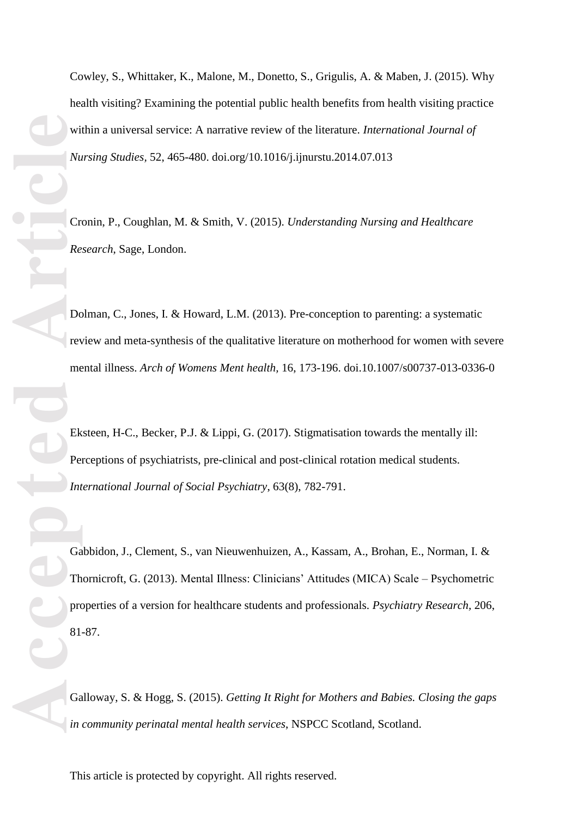Cowley, S., Whittaker, K., Malone, M., Donetto, S., Grigulis, A. & Maben, J. (2015). Why health visiting? Examining the potential public health benefits from health visiting practice within a universal service: A narrative review of the literature. *International Journal of Nursing Studies ,* 52, 465 - 480. doi.org/10.1016/j.ijnurstu.2014.07.013

Cronin, P., Coughlan, M. & Smith, V. (2015). *Understanding Nursing and Healthcare Research*, Sage, London.

Dolman, C., Jones, I. & Howard, L.M. (2013). Pre-conception to parenting: a systematic review and meta-synthesis of the qualitative literature on motherhood for women with severe mental illness. Arch of Womens Ment health, 16, 173-196. doi.10.1007/s00737-013-0336-0

Eksteen, H-C., Becker, P.J. & Lippi, G. (2017). Stigmatisation towards the mentally ill: Perceptions of psychiatrists, pre -clinical and post -clinical rotation medical students. *International Journal of Social Psychiatry*, 63(8), 782 -791.

Gabbidon, J., Clement, S., van Nieuwenhuizen, A., Kassam, A., Brohan, E., Norman, I. & Thornicroft, G. (2013 ) . Mental Illness: Clinicians' Attitudes (MICA) Scale – Psychometric properties of a version for healthcare students and professionals. *Psychiatry Research ,* 206, 81 -87.

Galloway, S. & Hogg, S. (2015). Getting It Right for Mothers and Babies. Closing the gaps *in community perinatal mental health services*, NSPCC Scotland, Scotland.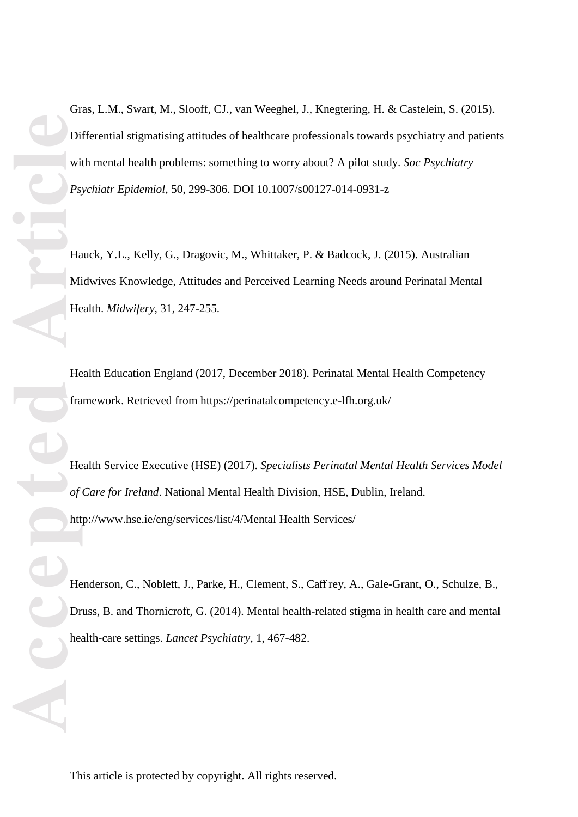Gras, L.M., Swart, M., Slooff, CJ., van Weeghel, J., Knegtering, H. & Castelein, S. (2015). Differential stigmatising attitudes of healthcare professionals towards psychiatry and patients with mental health problems: something to worry about? A pilot study. *Soc Psychiatry Psychiatr Epidemiol*, 50, 299-306. DOI 10.1007/s00127-014-0931-z

Hauck, Y.L., Kelly, G., Dragovic, M., Whittaker, P. & Badcock, J. (2015). Australian Midwives Knowledge, Attitudes and Perceived Learning Needs around Perinatal Mental Health. *Midwifery,* 31, 247-255.

Health Education England (2017, December 2018). Perinatal Mental Health Competency framework. Retrieved from https://perinatalcompetency.e-lfh.org.uk/

Health Service Executive (HSE) (2017). *Specialists Perinatal Mental Health Services Model of Care for Ireland*. National Mental Health Division, HSE, Dublin, Ireland. [http://www.hse.ie/eng/services/list/4/Mental](http://www.hse.ie/eng/services/list/4/Mental%1f%20Health%20Services/) Health Services/

Henderson, C., Noblett, J., Parke, H., Clement, S., Caff rey, A., Gale-Grant, O., Schulze, B., Druss, B. and Thornicroft, G. (2014). Mental health-related stigma in health care and mental health-care settings. *Lancet Psychiatry*, 1, 467-482.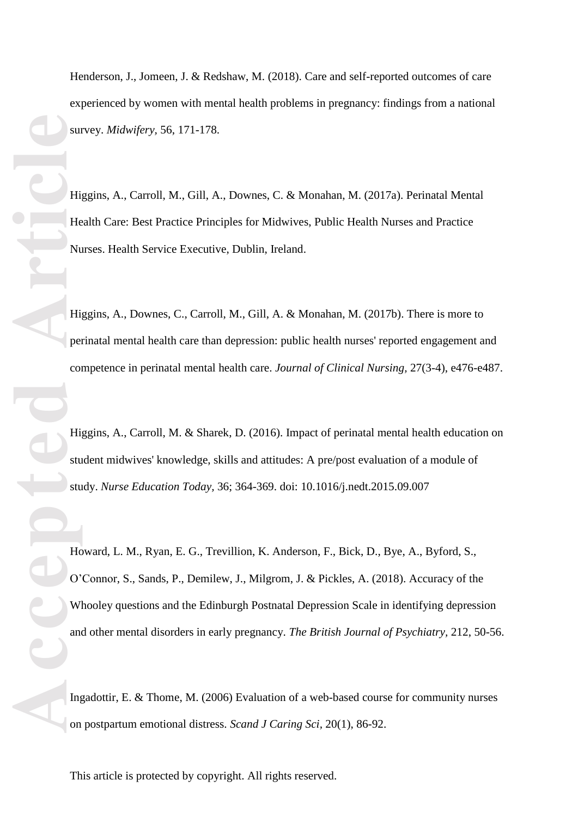Henderson, J., Jomeen, J. & Redshaw, M. (2018). Care and self-reported outcomes of care experienced by women with mental health problems in pregnancy: findings from a national survey. *Midwifery ,* 56, 171 -178.

Higgins, A., Carroll, M., Gill, A., Downes, C. & Monahan, M. (2017a). Perinatal Mental Health Care: Best Practice Principles for Midwives, Public Health Nurses and Practice Nurses. Health Service Executive, Dublin, Ireland.

Higgins, A., Downes, C., Carroll, M., Gill, A. & Monahan, M. (2017b). There is more to perinatal mental health care than depression: public health nurses' reported engagement and competence in perinatal mental health care. *Journal of Clinical Nursing*, 27(3-4), e476-e487.

Higgins, A., Carroll, M. & Sharek, D. (2016). Impact of perinatal mental health education on student midwives' knowledge, skills and attitudes: A pre/post evaluation of a module of study . *Nurse Education Today ,* 36; 364 -369 . doi: 10.1016/j.nedt.2015.09.007

Howard, L. M., Ryan, E. G., Trevillion, K. Anderson, F., Bick, D., Bye, A., Byford, S., O'Connor, S., Sands, P., Demilew, J., Milgrom, J. & Pickles, A. (2018). Accuracy of the Whooley questions and the Edinburgh Postnatal Depression Scale in identifying depression and other mental disorders in early pregnancy. *The British Journal of Psychiatry ,* 212, 50 -56.

Ingadottir , E. & Thome , M. (2006 ) Evaluation of a web -based course for community nurses on postpartum emotional distress. *Scand J Caring Sci*, 20(1), 86-92.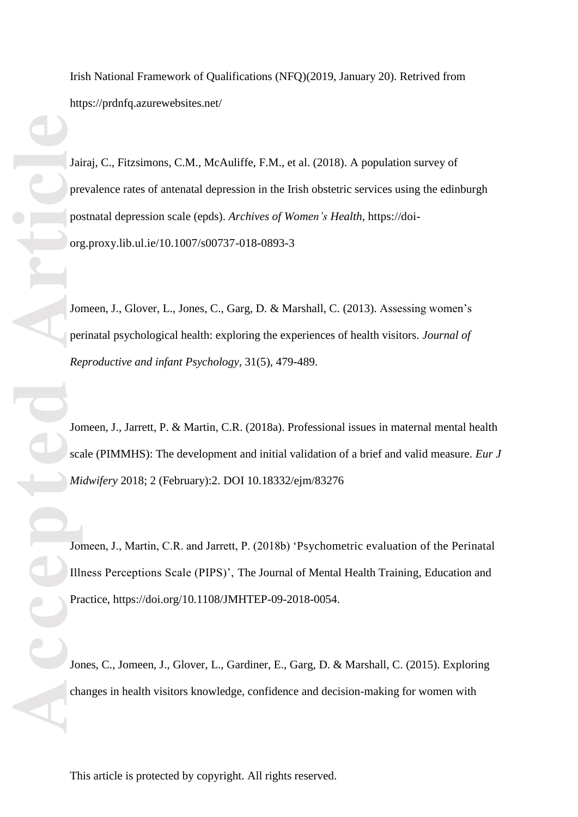Irish National Framework of Qualifications (NFQ)(2019, January 20). Retrived from https://prdnfq.azurewebsites.net/

**Accepted Article**<br> **Accepted Article**<br> **Accepted Article**<br> **Article**<br> **Article**<br> **Article**<br> **Article**<br> **Article**<br> **Article**<br> **Article**<br> **Article**<br> **Article**<br> **Article**<br> **Article**<br> **Article**<br> **Article**<br> **Article** Jairaj, C., Fitzsimons, C.M., McAuliffe, F.M., et al. (2018) . A population survey of prevalence rates of antenatal depression in the Irish obstetric services using the edinburgh postnatal depression scale (epds). *Archives of Women's Health* , https://doi org.proxy.lib.ul.ie/10.1007/s00737 -018 -0893 - 3

Jomeen, J., Glover, L., Jones, C., Garg, D. & Marshall, C. (2013). Assessing women's perinatal psychological health: exploring the experiences of health visitors. *Journal of Reproductive and infant Psychology ,* 31(5), 479 -489.

Jomeen, J., Jarrett, P. & Martin, C.R. (2018a). Professional issues in maternal mental health scale (PIMMHS): The development and initial validation of a brief and valid measure. *Eur J Midwifery* 2018; 2 (February):2. DOI 10.18332/ejm/83276

Jomeen, J., Martin, C.R. and Jarrett, P. (2018b) 'Psychometric evaluation of the Perinatal Illness Perceptions Scale (PIPS)', The Journal of Mental Health Training, Education and Practice, [https://doi.org/10.1108/JMHTEP](https://doi.org/10.1108/JMHTEP-09-2018-0054)-09-2018-0054.

Jones, C., Jomeen, J., Glover, L., Gardiner, E., Garg, D. & Marshall, C. (2015). Exploring changes in health visitors knowledge, confidence and decision -making for women with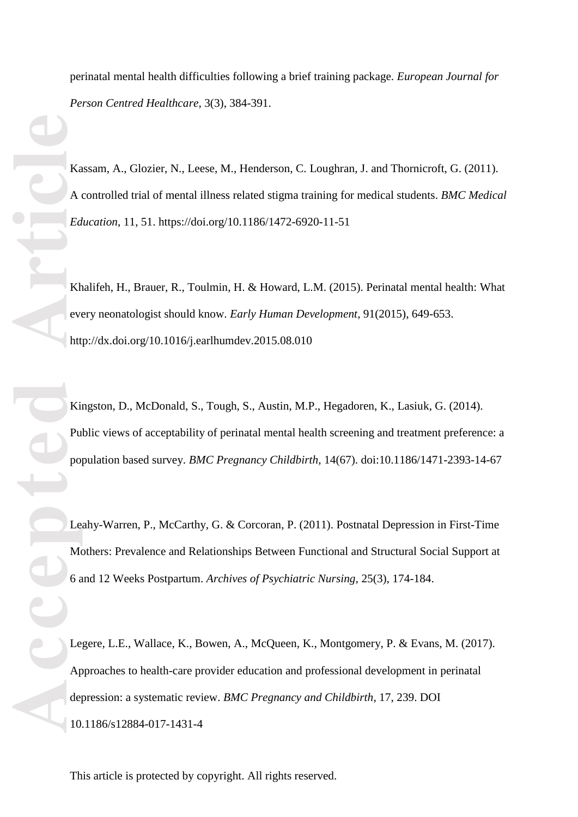perinatal mental health difficulties following a brief training package. *European Journal for*  Person Centred Healthcare, 3(3), 384-391.

Kassam, A., Glozier, N., Leese, M., Henderson, C. Loughran, J. and Thornicroft, G. (201 1). A controlled trial of mental illness related stigma training for medical students. *BMC Medical*  Education, 11, 51. [https://doi.org/10.1186/1472](https://doi.org/10.1186/1472-6920-11-51)-6920-11-51

Khalifeh, H., Brauer, R., Toulmin, H. & Howard, L.M. (2015). Perinatal mental health: What every neonatologist should know. *Early Human Development,* 91(2015), 649 -653. <http://dx.doi.org/10.1016/j.earlhumdev.2015.08.010>

Kingston, D., McDonald, S., Tough, S., Austin, M.P., Hegadoren, K., Lasiuk, G. (2014). Public views of acceptability of perinatal mental health screening and treatment preference: a population based survey. *BMC Pregnancy Childbirth*, 14(67). doi:10.1186/1471-2393-14-67

Leahy-Warren, P., McCarthy, G. & Corcoran, P. (2011). Postnatal Depression in First-Time Mothers: Prevalence and Relationships Between Functional and Structural Social Support at 6 and 12 Weeks Postpartum. *Archives of Psychiatric Nursing,* 25(3), 174 -184.

Legere, L.E., Wallace, K., Bowen, A., McQueen, K., Montgomery, P. & Evans, M. (2017). Approaches to health -care provider education and professional development in perinatal depression: a systematic review. *BMC Pregnancy and Childbirth ,* 17, 239. DOI 10.1186/s12884 -017 -1431 - 4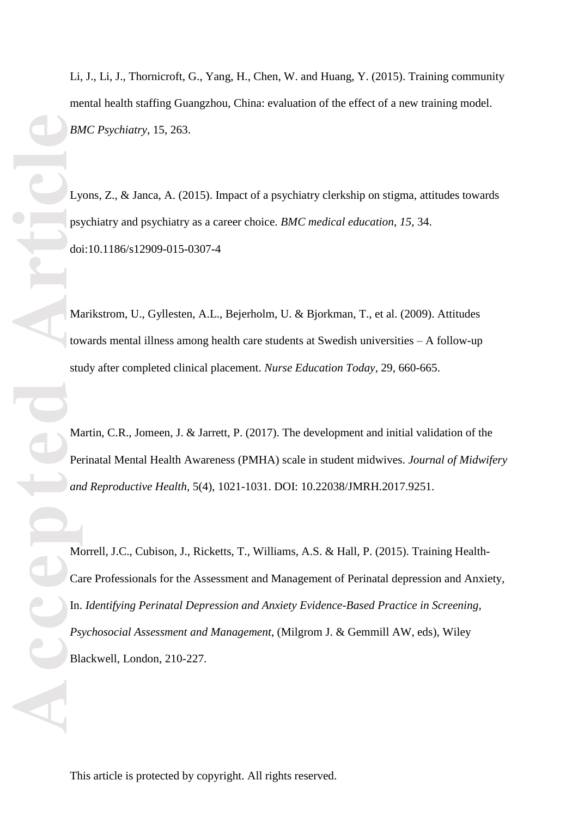Li, J., Li, J., Thornicroft, G., Yang, H., Chen, W. and Huang, Y. (2015). Training community mental health staffing Guangzhou, China: evaluation of the effect of a new training model. *BMC Psychiatry*, 15, 263.

Lyons, Z., & Janca, A. (2015). Impact of a psychiatry clerkship on stigma, attitudes towards psychiatry and psychiatry as a career choice. *BMC medical education*, *15*, 34. doi:10.1186/s12909-015-0307-4

Marikstrom, U., Gyllesten, A.L., Bejerholm, U. & Bjorkman, T., et al. (2009). Attitudes towards mental illness among health care students at Swedish universities – A follow -up study after completed clinical placement. *Nurse Education Today*, 29, 660-665.

Martin, C.R., Jomeen, J. & Jarrett, P. (2017). The development and initial validation of the Perinatal Mental Health Awareness (PMHA) scale in student midwives. *Journal of Midwifery and Reproductive Health ,* 5(4), 1021 -1031. DOI: 10.22038/JMRH.2017.9251.

Morrell, J.C., Cubison, J., Ricketts, T., Williams, A.S. & Hall, P. (2015). Training Health-Care Professionals for the Assessment and Management of Perinatal depression and Anxiety, In. *Identifying Perinatal Depression and Anxiety Evidence-Based Practice in Screening, Psychosocial Assessment and Management*, (Milgrom J. & Gemmill AW, eds), Wiley Blackwell, London, 210 -227.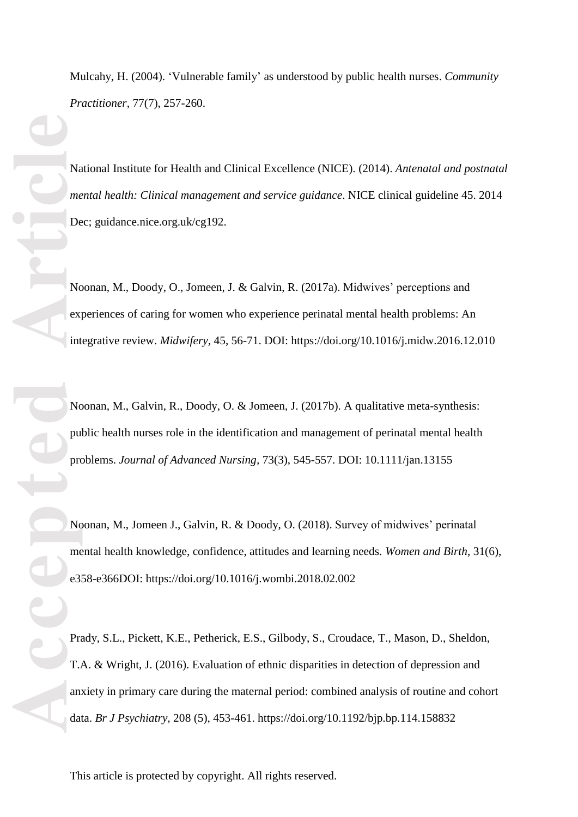Mulcahy , H. (200 4 ) . ' Vulnerable family' as understood by public health nurses. *Community Practitioner*, 77(7), 257 -260.

National Institute for Health and Clinical Excellence (NICE). (201 4 ) . *Antenatal and postnatal mental health: Clinical management and service guidance*. NICE clinical guideline 45. 2014 Dec; guidance.nice.org.uk/cg192.

Noonan, M., Doody, O., Jomeen, J. & Galvin, R. (2017a). Midwives' perceptions and experiences of caring for women who experience perinatal mental health problems: An integrative review. *Midwifery ,* 45, 56 -71. DOI:<https://doi.org/10.1016/j.midw.2016.12.010>

Noonan, M., Galvin, R., Doody, O. & Jomeen, J. (2017b). A qualitative meta-synthesis: public health nurses role in the identification and management of perinatal mental health problems. *Journal of Advanced Nursing ,* 73(3), 545 -557. DOI: 10.1111/jan.13155

Noonan, M., Jomeen J., Galvin, R. & Doody, O. (2018). Survey of midwives' perinatal mental health knowledge, confidence, attitudes and learning needs . *Women and Birth* , 31(6), e358 -e366DOI: https://doi.org/10.1016/j.wombi.2018.02.002

Prady, S.L., Pickett, K.E., Petherick, E.S., Gilbody, S., Croudace, T., Mason, D., Sheldon, T .A. & Wright, J. (2016 ) . Evaluation of ethnic disparities in detection of depression and anxiety in primary care during the maternal period: combined analysis of routine and cohort data. *Br J Psychiatry ,* 208 (5), 453 -461. https://doi.org/10.1192/bjp.bp.114.158832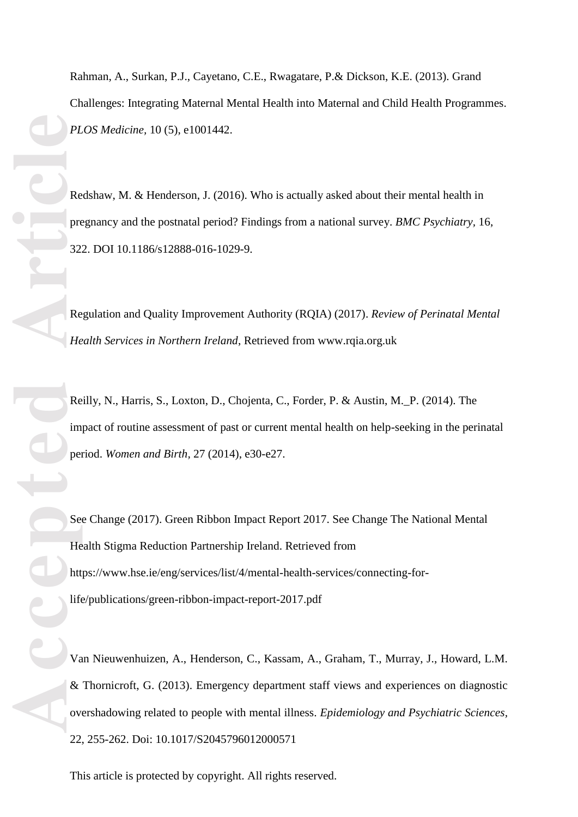Rahman, A., Surkan, P.J., Cayetano, C.E., Rwagatare, P.& Dickson, K.E. (2013). Grand Challenges: Integrating Maternal Mental Health into Maternal and Child Health Programmes. *PLOS Medicine ,* 10 (5) , e1001442.

Redshaw, M. & Henderson, J. (2016). Who is actually asked about their mental health in pregnancy and the postnatal period? Findings from a national survey. *BMC Psychiatry ,* 16, 322. DOI 10.1186/s12888 -016 -1029 -9.

Regulation and Quality Improvement Authority (RQIA) (2017) . *Review of Perinatal Mental Health Services in Northern Ireland*, Retrieved from [www.rqia.org.uk](http://www.rqia.org.uk/)

Reilly, N., Harris, S., Loxton, D., Chojenta, C., Forder, P. & Austin, M. P. (2014). The impact of routine assessment of past or current mental health on help -seeking in the perinatal period. *Women and Birth ,* 27 (2014), e30 -e27.

See Change (2017) . Green Ribbon Impact Report 2017. See Change The National Mental Health Stigma Reduction Partnership Ireland. Retrieved from https://www.hse.ie/eng/services/list/4/mental-health-services/connecting-forlife/publications/green-ribbon-impact-report-2017.pdf

Van Nieuwenhuizen, A., Henderson, C., Kassam, A., Graham, T., Murray, J., Howard, L.M. & Thornicroft, G. (2013). Emergency department staff views and experiences on diagnostic overshadowing related to people with mental illness. *Epidemiology and Psychiatric Sciences,* 22, 255 -262. Doi: 10.1017/S2045796012000571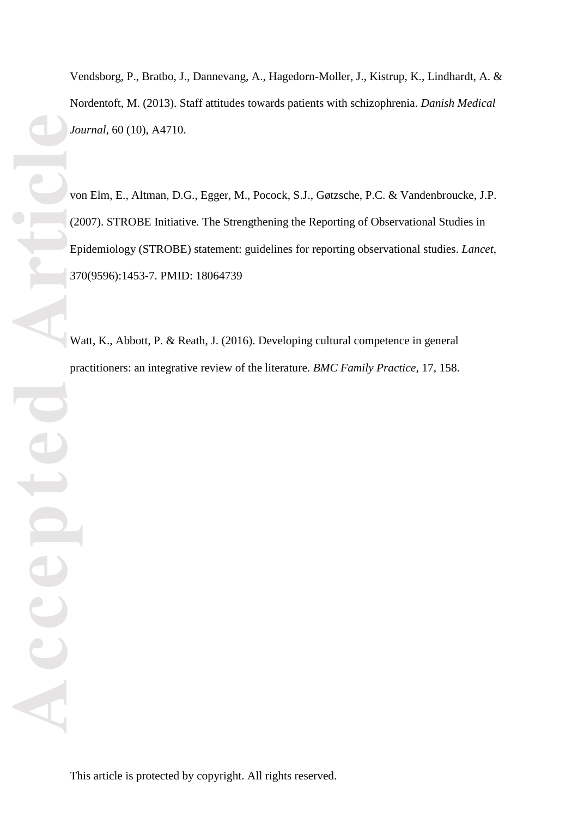Vendsborg, P., Bratbo, J., Dannevang, A., Hagedorn -Moller, J., Kistrup, K., Lindhardt, A. & Nordentoft, M. (2013). Staff attitudes towards patients with schizophrenia. *Danish Medical Journal,* 60 (10), A4710.

von Elm, E., Altman, D.G., Egger, M., Pocock, S.J., Gøtzsche, P.C. & Vandenbroucke, J.P. (2007 ) . STROBE Initiative. The Strengthening the Reporting of Observational Studies in Epidemiolog y (STROBE) statement: guidelines for reporting observational studies. *Lancet* , 370(9596):1453 -7. PMID: 18064739

Watt, K., Abbott, P. & Reath, J. (2016). Developing cultural competence in general practitioners: an integrative review of the literature. *BMC Family Practice*, 17, 158.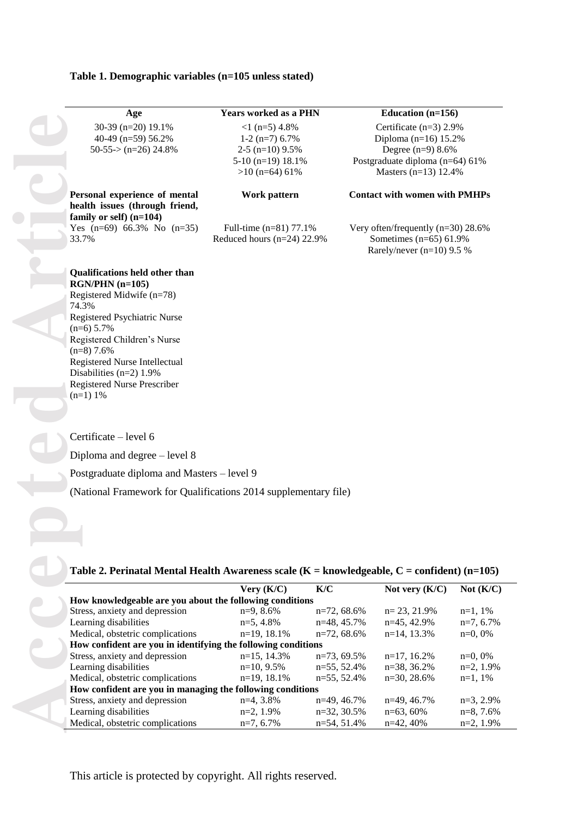#### **Table 1. Demographic variables (n=105 unless stated)**

| Age                        |
|----------------------------|
| $30-39$ (n=20) 19.1%       |
| 40-49 (n=59) 56.2%         |
| $50-55$ $>$ $(n=26)$ 24.8% |

**Personal experience of mental health issues (through friend, family or self) (n=104)** Yes (n=69) 66.3% No (n=35) 33.7%

 $<$ 1 (n=5) 4.8%  $1-2$  (n=7) 6.7%  $2-5$  (n=10)  $9.5%$ 5 -10 (n=19) 18.1% >10 (n=64) 61%

Full -time (n=81) 77.1% Reduced hours (n=24) 22.9%

#### **Age Years worked as a PHN Education (n=156)**

Certificate (n=3) 2.9% Diploma (n=16) 15.2% Degree (n=9) 8.6% Postgraduate diploma (n=64) 61% Masters (n=13) 12.4%

#### **Work pattern Contact with women with PMHPs**

Very often/frequently (n=30) 28.6% Sometimes (n=65) 61.9% Rarely/never (n=10) 9.5 %

# **RGN/PHN (n=105)**

Registered Midwife (n=78) 74.3% Registered Psychiatric Nurse  $(n=6)$  5.7% Registered Children's Nurse (n=8) 7.6% Registered Nurse Intellectual Disabilities (n=2) 1.9% Registered Nurse Prescriber  $(n=1)$  1%

Certificate – level 6

Diploma and degree – level 8

Postgraduate diploma and Masters – level 9

(National Framework for Qualifications 2014 supplementary file)

#### **Table 2. Perinatal Mental Health Awareness scale (K = knowledgeable, C = confident) (n=105)**

|                                                               | Very (K/C)     | K/C            | Not very $(K/C)$ | Not $(K/C)$  |
|---------------------------------------------------------------|----------------|----------------|------------------|--------------|
| How knowledgeable are you about the following conditions      |                |                |                  |              |
| Stress, anxiety and depression                                | $n=9, 8.6\%$   | $n=72,68.6%$   | $n=23, 21.9\%$   | $n=1, 1%$    |
| Learning disabilities                                         | $n=5, 4.8\%$   | $n=48, 45.7\%$ | $n=45, 42.9%$    | $n=7, 6.7\%$ |
| Medical, obstetric complications                              | $n=19, 18.1%$  | $n=72,68.6%$   | $n=14$ , 13.3%   | $n=0,0%$     |
| How confident are you in identifying the following conditions |                |                |                  |              |
| Stress, anxiety and depression                                | $n=15$ , 14.3% | $n=73,69.5%$   | $n=17, 16.2%$    | $n=0,0%$     |
| Learning disabilities                                         | $n=10, 9.5\%$  | $n=55, 52.4%$  | $n=38, 36.2%$    | $n=2, 1.9\%$ |
| Medical, obstetric complications                              | $n=19, 18.1\%$ | $n=55, 52.4\%$ | $n=30, 28.6\%$   | $n=1.1\%$    |
| How confident are you in managing the following conditions    |                |                |                  |              |
| Stress, anxiety and depression                                | $n=4, 3.8\%$   | $n=49, 46.7\%$ | $n=49, 46.7\%$   | $n=3$ , 2.9% |
| Learning disabilities                                         | $n=2, 1.9\%$   | $n=32, 30.5%$  | $n=63,60%$       | $n=8, 7.6%$  |
| Medical, obstetric complications                              | $n=7, 6.7\%$   | $n=54.51.4%$   | $n=42.40%$       | $n=2.1.9\%$  |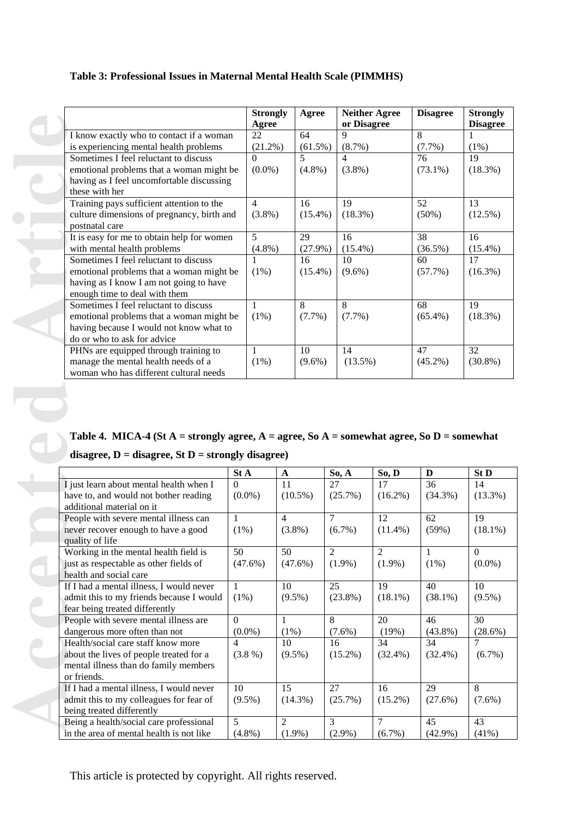# **Table 3: Professional Issues in Maternal Mental Health Scale (PIMMHS )**

|                                            | <b>Strongly</b><br>Agree | Agree                    | <b>Neither Agree</b><br>or Disagree | <b>Disagree</b> | <b>Strongly</b><br><b>Disagree</b> |
|--------------------------------------------|--------------------------|--------------------------|-------------------------------------|-----------------|------------------------------------|
| I know exactly who to contact if a woman   | 22                       | 64                       | $\mathbf Q$                         | 8               |                                    |
| is experiencing mental health problems     | $(21.2\%)$               | $(61.5\%)$               | $(8.7\%)$                           | $(7.7\%)$       | $(1\%)$                            |
| Sometimes I feel reluctant to discuss      | $\Omega$                 | $\overline{\phantom{0}}$ | $\overline{\mathcal{A}}$            | 76              | 19                                 |
| emotional problems that a woman might be   | $(0.0\%)$                | $(4.8\%)$                | $(3.8\%)$                           | $(73.1\%)$      | (18.3%)                            |
| having as I feel uncomfortable discussing  |                          |                          |                                     |                 |                                    |
| these with her                             |                          |                          |                                     |                 |                                    |
| Training pays sufficient attention to the  | $\overline{4}$           | 16                       | 19                                  | 52              | 13                                 |
| culture dimensions of pregnancy, birth and | $(3.8\%)$                | $(15.4\%)$               | $(18.3\%)$                          | $(50\%)$        | $(12.5\%)$                         |
| postnatal care                             |                          |                          |                                     |                 |                                    |
| It is easy for me to obtain help for women | 5                        | 29                       | 16                                  | 38              | 16                                 |
| with mental health problems                | $(4.8\%)$                | $(27.9\%)$               | $(15.4\%)$                          | $(36.5\%)$      | $(15.4\%)$                         |
| Sometimes I feel reluctant to discuss      | 1                        | 16                       | 10                                  | 60              | 17                                 |
| emotional problems that a woman might be   | $(1\%)$                  | $(15.4\%)$               | $(9.6\%)$                           | $(57.7\%)$      | $(16.3\%)$                         |
| having as I know I am not going to have    |                          |                          |                                     |                 |                                    |
| enough time to deal with them              |                          |                          |                                     |                 |                                    |
| Sometimes I feel reluctant to discuss      | 1                        | 8                        | 8                                   | 68              | 19                                 |
| emotional problems that a woman might be   | $(1\%)$                  | $(7.7\%)$                | $(7.7\%)$                           | $(65.4\%)$      | $(18.3\%)$                         |
| having because I would not know what to    |                          |                          |                                     |                 |                                    |
| do or who to ask for advice                |                          |                          |                                     |                 |                                    |
| PHNs are equipped through training to      | 1                        | 10                       | 14                                  | 47              | 32                                 |
| manage the mental health needs of a        | (1%)                     | $(9.6\%)$                | $(13.5\%)$                          | $(45.2\%)$      | $(30.8\%)$                         |
| woman who has different cultural needs     |                          |                          |                                     |                 |                                    |

# Table 4. MICA-4 (St  $A =$  strongly agree,  $A =$  agree, So  $A =$  somewhat agree, So  $D =$  somewhat **disagree, D = disagree, St D = strongly disagree)**

|                                                                                           |                                       | Agree          |                             |                | or Disagree              |                  | <b>Disagree</b>                                                                      |
|-------------------------------------------------------------------------------------------|---------------------------------------|----------------|-----------------------------|----------------|--------------------------|------------------|--------------------------------------------------------------------------------------|
| I know exactly who to contact if a woman                                                  |                                       | 22             | 64                          | Q              |                          | 8                |                                                                                      |
| is experiencing mental health problems                                                    |                                       | $(21.2\%)$     | $(61.5\%)$                  | (8.7%)         |                          | (7.7%)           | $(1\%)$                                                                              |
| Sometimes I feel reluctant to discuss                                                     |                                       | $\Omega$       | 5                           | 4              |                          | 76               | 19                                                                                   |
| emotional problems that a woman might be                                                  |                                       | $(0.0\%)$      | $(4.8\%)$                   | $(3.8\%)$      |                          | $(73.1\%)$       | (18.3%)                                                                              |
| having as I feel uncomfortable discussing                                                 |                                       |                |                             |                |                          |                  |                                                                                      |
| these with her                                                                            |                                       |                |                             |                |                          |                  |                                                                                      |
| Training pays sufficient attention to the                                                 |                                       | $\overline{4}$ | 16                          | 19             |                          | 52               | 13                                                                                   |
| culture dimensions of pregnancy, birth and                                                |                                       | $(3.8\%)$      | $(15.4\%)$                  | (18.3%)        |                          | (50%)            | (12.5%)                                                                              |
| postnatal care                                                                            |                                       |                |                             |                |                          |                  |                                                                                      |
| It is easy for me to obtain help for women                                                |                                       | 5              | 29                          | 16             |                          | 38               | 16                                                                                   |
| with mental health problems                                                               |                                       | $(4.8\%)$      | $(27.9\%)$                  | $(15.4\%)$     |                          | $(36.5\%)$       | $(15.4\%)$                                                                           |
| Sometimes I feel reluctant to discuss                                                     |                                       | 1              | 16                          | 10             |                          | 60               | 17                                                                                   |
| emotional problems that a woman might be                                                  |                                       | (1%)           | $(15.4\%)$                  | $(9.6\%)$      |                          | (57.7%)          | $(16.3\%)$                                                                           |
| having as I know I am not going to have                                                   |                                       |                |                             |                |                          |                  |                                                                                      |
| enough time to deal with them                                                             |                                       |                |                             |                |                          |                  |                                                                                      |
| Sometimes I feel reluctant to discuss                                                     |                                       | $\mathbf{1}$   | 8                           | 8              |                          | 68               | 19                                                                                   |
| emotional problems that a woman might be                                                  |                                       | $(1\%)$        | $(7.7\%)$                   | (7.7%)         |                          | $(65.4\%)$       | (18.3%)                                                                              |
| having because I would not know what to                                                   |                                       |                |                             |                |                          |                  |                                                                                      |
| do or who to ask for advice                                                               |                                       |                |                             |                |                          |                  |                                                                                      |
| PHNs are equipped through training to                                                     |                                       | 1              | 10                          | 14             |                          | 47               | 32                                                                                   |
| manage the mental health needs of a                                                       |                                       | (1%)           | $(9.6\%)$                   | $(13.5\%)$     |                          | $(45.2\%)$       | $(30.8\%)$                                                                           |
| woman who has different cultural needs                                                    |                                       |                |                             |                |                          |                  |                                                                                      |
| Table 4. MICA-4 (St A = strongly agree, A = agree, So A = somewhat agree, So D = somewhat |                                       |                |                             |                |                          |                  |                                                                                      |
| disagree, $D =$ disagree, St $D =$ strongly disagree)                                     |                                       |                |                             |                |                          |                  |                                                                                      |
|                                                                                           |                                       |                | $\mathbf A$                 |                | So, D                    | D                |                                                                                      |
| I just learn about mental health when I                                                   | $\mathbf{St}\:\mathbf{A}$<br>$\Omega$ |                | 11                          | So, A<br>27    | 17                       | 36               | 14                                                                                   |
| have to, and would not bother reading                                                     |                                       | $(0.0\%)$      | $(10.5\%)$                  | (25.7%)        | $(16.2\%)$               | $(34.3\%)$       |                                                                                      |
| additional material on it                                                                 |                                       |                |                             |                |                          |                  |                                                                                      |
|                                                                                           | 1                                     |                | $\overline{4}$              | $\tau$         |                          |                  | 19                                                                                   |
| People with severe mental illness can                                                     |                                       |                |                             |                | 12                       | 62               |                                                                                      |
| never recover enough to have a good                                                       |                                       | $(1\%)$        | $(3.8\%)$                   | $(6.7\%)$      | $(11.4\%)$               | (59%)            |                                                                                      |
| quality of life                                                                           |                                       |                |                             |                |                          |                  |                                                                                      |
| Working in the mental health field is                                                     | $\overline{50}$                       |                | $\overline{50}$             | $\overline{c}$ | $\overline{c}$           | $\mathbf{1}$     | $\boldsymbol{0}$                                                                     |
| just as respectable as other fields of                                                    |                                       | $(47.6\%)$     | $(47.6\%)$                  | $(1.9\%)$      | $(1.9\%)$                | $(1\%)$          |                                                                                      |
| health and social care                                                                    |                                       |                |                             |                |                          |                  |                                                                                      |
| If I had a mental illness, I would never                                                  | $\mathbf{1}$                          |                | 10                          | 25             | 19                       | 40               | 10                                                                                   |
| admit this to my friends because I would                                                  |                                       | $(1\%)$        | $(9.5\%)$                   | $(23.8\%)$     | $(18.1\%)$               | $(38.1\%)$       |                                                                                      |
| fear being treated differently                                                            |                                       |                |                             |                |                          |                  |                                                                                      |
| People with severe mental illness are                                                     | $\mathbf{0}$                          |                | 1                           | 8              | 20                       | 46               | 30                                                                                   |
| dangerous more often than not                                                             |                                       | $(0.0\%)$      | $(1\%)$                     | $(7.6\%)$      | (19%)                    | $(43.8\%)$       |                                                                                      |
| Health/social care staff know more                                                        | 4                                     |                | 10                          | 16             | 34                       | 34               | $\overline{7}$                                                                       |
| about the lives of people treated for a                                                   |                                       | $(3.8\%)$      | $(9.5\%)$                   | $(15.2\%)$     | $(32.4\%)$               | $(32.4\%)$       |                                                                                      |
| mental illness than do family members                                                     |                                       |                |                             |                |                          |                  |                                                                                      |
| or friends.                                                                               |                                       |                |                             |                |                          |                  |                                                                                      |
| If I had a mental illness, I would never                                                  | 10                                    |                | 15                          | 27             | 16                       | 29               | St D<br>(13.3%)<br>$(18.1\%)$<br>$(0.0\%)$<br>$(9.5\%)$<br>$(28.6\%)$<br>(6.7%)<br>8 |
| admit this to my colleagues for fear of                                                   |                                       | $(9.5\%)$      | $(14.3\%)$                  | (25.7%)        | $(15.2\%)$               | (27.6%)          |                                                                                      |
| being treated differently                                                                 |                                       |                |                             |                |                          |                  | $(7.6\%)$                                                                            |
| Being a health/social care professional<br>in the area of mental health is not like       | 5                                     | $(4.8\%)$      | $\overline{2}$<br>$(1.9\%)$ | 3<br>$(2.9\%)$ | $\overline{7}$<br>(6.7%) | 45<br>$(42.9\%)$ | 43<br>(41%)                                                                          |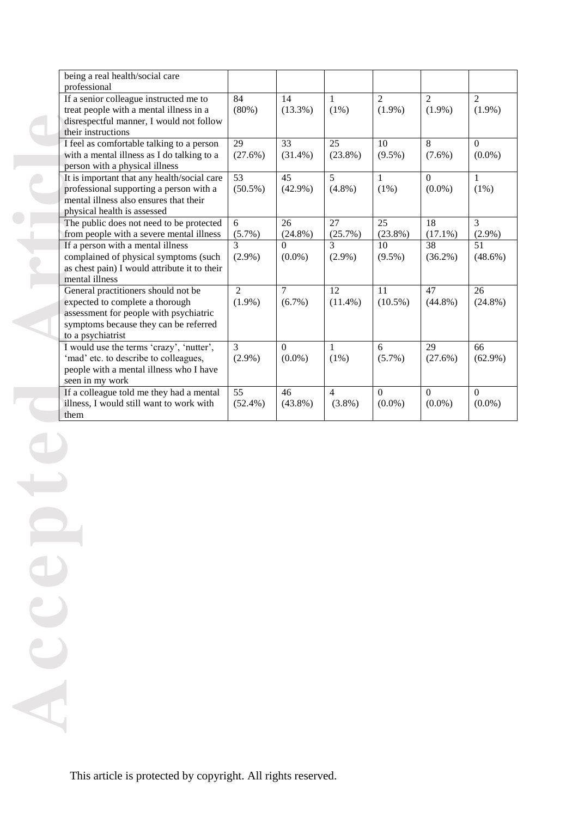| being a real health/social care<br>professional                                                                                                                                |                               |                               |                               |                               |                               |                               |
|--------------------------------------------------------------------------------------------------------------------------------------------------------------------------------|-------------------------------|-------------------------------|-------------------------------|-------------------------------|-------------------------------|-------------------------------|
| If a senior colleague instructed me to<br>treat people with a mental illness in a<br>disrespectful manner, I would not follow<br>their instructions                            | 84<br>(80%)                   | 14<br>$(13.3\%)$              | $\mathbf{1}$<br>(1%)          | $\overline{2}$<br>$(1.9\%)$   | 2<br>$(1.9\%)$                | 2<br>$(1.9\%)$                |
| I feel as comfortable talking to a person<br>with a mental illness as I do talking to a<br>person with a physical illness                                                      | 29<br>(27.6%)                 | 33<br>$(31.4\%)$              | 25<br>$(23.8\%)$              | 10<br>$(9.5\%)$               | 8<br>$(7.6\%)$                | $\mathbf{0}$<br>$(0.0\%)$     |
| It is important that any health/social care<br>professional supporting a person with a<br>mental illness also ensures that their<br>physical health is assessed                | $\overline{53}$<br>$(50.5\%)$ | $\overline{45}$<br>$(42.9\%)$ | $\overline{5}$<br>$(4.8\%)$   | $\mathbf{1}$<br>$(1\%)$       | $\Omega$<br>$(0.0\%)$         | $\mathbf{1}$<br>(1%)          |
| The public does not need to be protected<br>from people with a severe mental illness                                                                                           | 6<br>(5.7%)                   | 26<br>$(24.8\%)$              | 27<br>(25.7%)                 | 25<br>$(23.8\%)$              | 18<br>$(17.1\%)$              | $\mathcal{F}$<br>$(2.9\%)$    |
| If a person with a mental illness<br>complained of physical symptoms (such<br>as chest pain) I would attribute it to their<br>mental illness                                   | 3<br>$(2.9\%)$                | $\Omega$<br>$(0.0\%)$         | $\mathcal{R}$<br>$(2.9\%)$    | 10<br>$(9.5\%)$               | 38<br>$(36.2\%)$              | 51<br>$(48.6\%)$              |
| General practitioners should not be<br>expected to complete a thorough<br>assessment for people with psychiatric<br>symptoms because they can be referred<br>to a psychiatrist | $\overline{2}$<br>$(1.9\%)$   | $\overline{7}$<br>$(6.7\%)$   | $\overline{12}$<br>$(11.4\%)$ | $\overline{11}$<br>$(10.5\%)$ | $\overline{47}$<br>$(44.8\%)$ | $\overline{26}$<br>$(24.8\%)$ |
| I would use the terms 'crazy', 'nutter',<br>'mad' etc. to describe to colleagues,<br>people with a mental illness who I have<br>seen in my work                                | $\overline{3}$<br>$(2.9\%)$   | $\mathbf{0}$<br>$(0.0\%)$     | 1<br>$(1\%)$                  | 6<br>$(5.7\%)$                | 29<br>$(27.6\%)$              | 66<br>$(62.9\%)$              |
| If a colleague told me they had a mental<br>illness, I would still want to work with<br>them                                                                                   | $\overline{55}$<br>$(52.4\%)$ | 46<br>$(43.8\%)$              | $\overline{4}$<br>$(3.8\%)$   | $\overline{0}$<br>$(0.0\%)$   | $\overline{0}$<br>$(0.0\%)$   | $\Omega$<br>$(0.0\%)$         |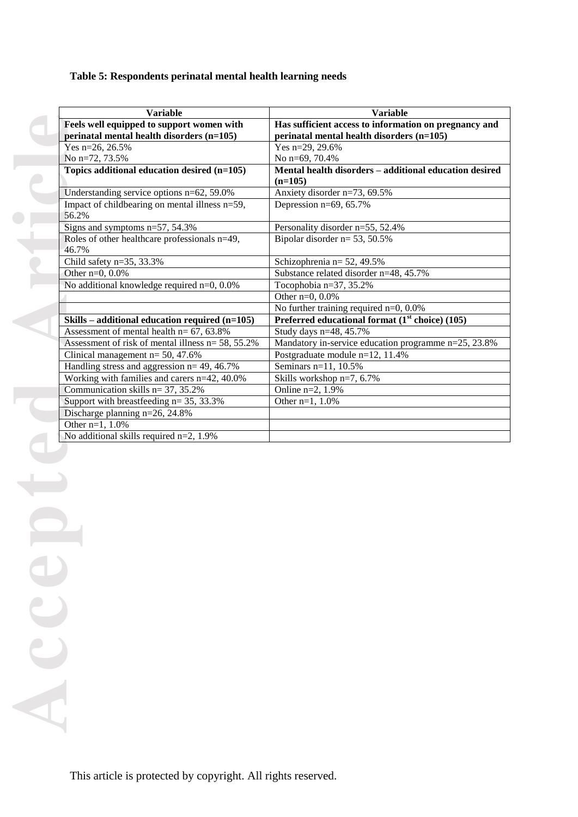# **Table 5: Respondents perinatal mental health learning needs**

| <b>Variable</b>                                       | <b>Variable</b>                                        |
|-------------------------------------------------------|--------------------------------------------------------|
| Feels well equipped to support women with             | Has sufficient access to information on pregnancy and  |
| perinatal mental health disorders (n=105)             | perinatal mental health disorders (n=105)              |
| Yes n=26, 26.5%                                       | Yes n=29, 29.6%                                        |
| No n=72, 73.5%                                        | No n=69, 70.4%                                         |
| Topics additional education desired (n=105)           | Mental health disorders - additional education desired |
|                                                       | $(n=105)$                                              |
| Understanding service options n=62, 59.0%             | Anxiety disorder n=73, 69.5%                           |
| Impact of childbearing on mental illness n=59,        | Depression n=69, 65.7%                                 |
| 56.2%                                                 |                                                        |
| Signs and symptoms n=57, 54.3%                        | Personality disorder n=55, 52.4%                       |
| Roles of other healthcare professionals n=49,         | Bipolar disorder n= 53, 50.5%                          |
| 46.7%                                                 |                                                        |
| Child safety $n=35$ , 33.3%                           | Schizophrenia n= 52, 49.5%                             |
| Other $n=0$ , 0.0%                                    | Substance related disorder n=48, 45.7%                 |
| No additional knowledge required n=0, 0.0%            | Tocophobia n=37, 35.2%                                 |
|                                                       | Other n=0, 0.0%                                        |
|                                                       | No further training required $n=0$ , 0.0%              |
| Skills – additional education required $(n=105)$      | Preferred educational format $(1st choice)$ (105)      |
| Assessment of mental health $n = 67, 63.8\%$          | Study days n=48, 45.7%                                 |
| Assessment of risk of mental illness $n = 58$ , 55.2% | Mandatory in-service education programme n=25, 23.8%   |
| Clinical management $n = 50, 47.6%$                   | Postgraduate module n=12, 11.4%                        |
| Handling stress and aggression $n = 49, 46.7\%$       | Seminars n=11, 10.5%                                   |
| Working with families and carers n=42, 40.0%          | Skills workshop n=7, 6.7%                              |
| Communication skills $n = 37, 35.2\%$                 | Online n=2, 1.9%                                       |
| Support with breastfeeding $n=35$ , 33.3%             | Other $n=1, 1.0%$                                      |
| Discharge planning n=26, 24.8%                        |                                                        |
| Other $n=1, 1.0%$                                     |                                                        |
| No additional skills required $n=2$ , 1.9%            |                                                        |

**Feel:**<br> **Accepted**<br> **Accepted**<br> **Accepted**<br> **Accepted**<br> **Accepted**<br> **Accepted**<br> **Accepted**<br> **Accepted**<br> **Accepted**<br> **Accepted**<br> **Accepted**<br> **Accepted**<br> **Accepted**<br> **Accepted**<br> **Accepted**<br> **Accepted**<br> **Accepted**<br> **Accepted**  $\mathbf{C}$ Acc

 $\bullet$